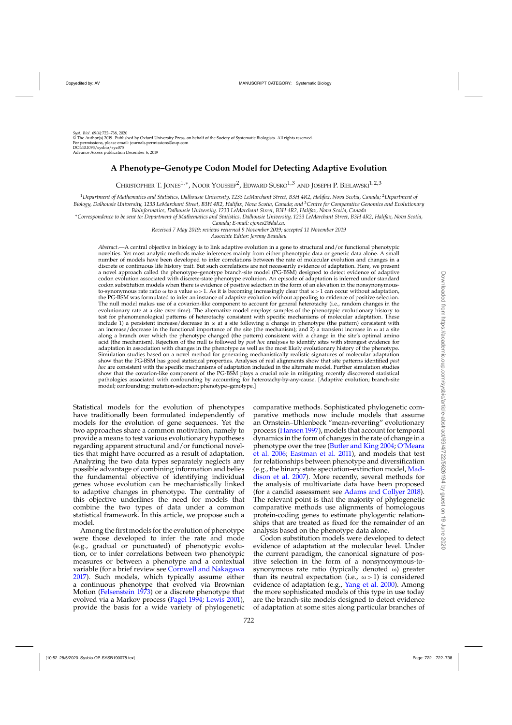Downloaded from https://academic.oup.com/sysbio/article-abstract/69/4/722/5626194 by guest on 19 June 2020

# **A Phenotype–Genotype Codon Model for Detecting Adaptive Evolution**

CHRISTOPHER T. JONES1,∗, NOOR YOUSSEF2, EDWARD SUSKO1,<sup>3</sup> AND JOSEPH P. BIELAWSKI1,2,<sup>3</sup>

<sup>1</sup>*Department of Mathematics and Statistics, Dalhousie University, 1233 LeMarchant Street, B3H 4R2, Halifax, Nova Scotia, Canada;* <sup>2</sup>*Department of Biology, Dalhousie University, 1233 LeMarchant Street, B3H 4R2, Halifax, Nova Scotia, Canada; and* <sup>3</sup>*Centre for Comparative Genomics and Evolutionary*

\*Correspondence to be sent to: Department of Mathematics and Statistics, Dalhousie University, 1233 LeMarchant Street, B3H 4R2, Halifax, Nova Scotia, *Canada; E-mail: cjones2@dal.ca.*

*Received 7 May 2019; reviews returned 9 November 2019; accepted 11 November 2019 Associate Editor: Jeremy Beaulieu*

*Abstract*.—A central objective in biology is to link adaptive evolution in a gene to structural and/or functional phenotypic novelties. Yet most analytic methods make inferences mainly from either phenotypic data or genetic data alone. A small number of models have been developed to infer correlations between the rate of molecular evolution and changes in a discrete or continuous life history trait. But such correlations are not necessarily evidence of adaptation. Here, we present a novel approach called the phenotype–genotype branch-site model (PG-BSM) designed to detect evidence of adaptive codon evolution associated with discrete-state phenotype evolution. An episode of adaptation is inferred under standard codon substitution models when there is evidence of positive selection in the form of an elevation in the nonsynonymousto-synonymous rate ratio  $\omega$  to a value  $\omega > 1$ . As it is becoming increasingly clear that  $\omega > 1$  can occur without adaptation, the PG-BSM was formulated to infer an instance of adaptive evolution without appealing to evidence of positive selection. The null model makes use of a covarion-like component to account for general heterotachy (i.e., random changes in the evolutionary rate at a site over time). The alternative model employs samples of the phenotypic evolutionary history to test for phenomenological patterns of heterotachy consistent with specific mechanisms of molecular adaptation. These include 1) a persistent increase/decrease in  $\omega$  at a site following a change in phenotype (the pattern) consistent with an increase/decrease in the functional importance of the site (the mechanism); and 2) a transient increase in  $\omega$  at a site along a branch over which the phenotype changed (the pattern) consistent with a change in the site's optimal amino acid (the mechanism). Rejection of the null is followed by *post hoc* analyses to identify sites with strongest evidence for adaptation in association with changes in the phenotype as well as the most likely evolutionary history of the phenotype. Simulation studies based on a novel method for generating mechanistically realistic signatures of molecular adaptation show that the PG-BSM has good statistical properties. Analyses of real alignments show that site patterns identified *post hoc* are consistent with the specific mechanisms of adaptation included in the alternate model. Further simulation studies show that the covarion-like component of the PG-BSM plays a crucial role in mitigating recently discovered statistical pathologies associated with confounding by accounting for heterotachy-by-any-cause. [Adaptive evolution; branch-site model; confounding; mutation-selection; phenotype–genotype.]

Statistical models for the evolution of phenotypes have traditionally been formulated independently of models for the evolution of gene sequences. Yet the two approaches share a common motivation, namely to provide a means to test various evolutionary hypotheses regarding apparent structural and/or functional novelties that might have occurred as a result of adaptation. Analyzing the two data types separately neglects any possible advantage of combining information and belies the fundamental objective of identifying individual genes whose evolution can be mechanistically linked to adaptive changes in phenotype. The centrality of this objective underlines the need for models that combine the two types of data under a common statistical framework. In this article, we propose such a model.

Among the first models for the evolution of phenotype were those developed to infer the rate and mode (e.g., gradual or punctuated) of phenotypic evolution, or to infer correlations between two phenotypic measures or between a phenotype and a contextual variable (for a brief review see [Cornwell and Nakagawa](#page-15-0) [2017](#page-15-0)). Such models, which typically assume either a continuous phenotype that evolved via Brownian Motion [\(Felsenstein 1973](#page-15-0)) or a discrete phenotype that evolved via a Markov process [\(Pagel 1994](#page-15-0); [Lewis 2001](#page-15-0)), provide the basis for a wide variety of phylogenetic

comparative methods. Sophisticated phylogenetic comparative methods now include models that assume an Ornstein–Uhlenbeck "mean-reverting" evolutionary process [\(Hansen 1997\)](#page-15-0), models that account for temporal dynamics in the form of changes in the rate of change in a phenotype over the tree [\(Butler and King 2004](#page-15-0); O'Meara et al. [2006](#page-15-0); [Eastman et al. 2011\)](#page-15-0), and models that test for relationships between phenotype and diversification (e.g., the bi[nary state speciation–extinction model,](#page-15-0) Maddison et al. [2007\)](#page-15-0). More recently, several methods for the analysis of multivariate data have been proposed (for a candid assessment see [Adams and Collyer 2018\)](#page-14-0). The relevant point is that the majority of phylogenetic comparative methods use alignments of homologous protein-coding genes to estimate phylogentic relationships that are treated as fixed for the remainder of an analysis based on the phenotype data alone.

Codon substitution models were developed to detect evidence of adaptation at the molecular level. Under the current paradigm, the canonical signature of positive selection in the form of a nonsynonymous-tosynonymous rate ratio (typically denoted ω) greater than its neutral expectation (i.e.,  $\omega$  > 1) is considered evidence of adaptation (e.g., [Yang et al. 2000\)](#page-16-0). Among the more sophisticated models of this type in use today are the branch-site models designed to detect evidence of adaptation at some sites along particular branches of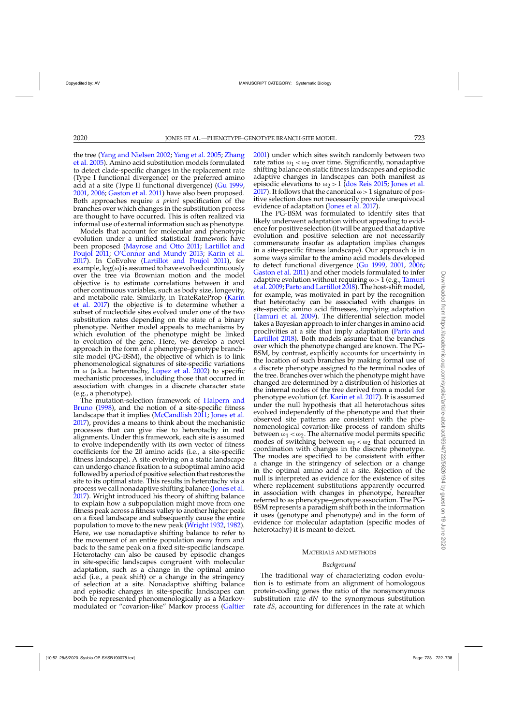the t[ree \(Yang and Nielsen 2002;](#page-16-0) [Yang et al. 2005](#page-16-0); Zhang et al. [2005\)](#page-16-0). Amino acid substitution models formulated to detect clade-specific changes in the replacement rate (Type I functional divergence) or the preferred amino acid at a site (Type II functional divergence) [\(Gu 1999](#page-15-0), [2001](#page-15-0), [2006](#page-15-0); [Gaston et al. 2011](#page-15-0)) have also been proposed. Both approaches require *a priori* specification of the branches over which changes in the substitution process are thought to have occurred. This is often realized via informal use of external information such as phenotype.

Models that account for molecular and phenotypic evolution under a unified statistical framework have been [proposed \(Mayrose and Otto 2011;](#page-15-0) Lartillot and Poujol [2011;](#page-15-0) [O'Connor and Mundy 2013](#page-15-0); [Karin et al.](#page-15-0) [2017\)](#page-15-0). In CoEvolve [\(Lartillot and Poujol 2011](#page-15-0)), for example,  $log(\omega)$  is assumed to have evolved continuously over the tree via Brownian motion and the model objective is to estimate correlations between it and other continuous variables, such as body size, longevity, and [metabolic rate. Similarly, in TrateRateProp \(](#page-15-0)Karin et al. [2017\)](#page-15-0) the objective is to determine whether a subset of nucleotide sites evolved under one of the two substitution rates depending on the state of a binary phenotype. Neither model appeals to mechanisms by which evolution of the phenotype might be linked to evolution of the gene. Here, we develop a novel approach in the form of a phenotype–genotype branchsite model (PG-BSM), the objective of which is to link phenomenological signatures of site-specific variations in  $\omega$  (a.k.a. heterotachy, [Lopez et al. 2002](#page-15-0)) to specific mechanistic processes, including those that occurred in association with changes in a discrete character state (e.g., a phenotype).

The [mutation-selection framework of](#page-15-0) Halpern and Bruno [\(1998](#page-15-0)), and the notion of a site-specific fitness landscape that it implies [\(McCandlish 2011](#page-15-0); [Jones et al.](#page-15-0) [2017\)](#page-15-0), provides a means to think about the mechanistic processes that can give rise to heterotachy in real alignments. Under this framework, each site is assumed to evolve independently with its own vector of fitness coefficients for the 20 amino acids (i.e., a site-specific fitness landscape). A site evolving on a static landscape can undergo chance fixation to a suboptimal amino acid followed by a period of positive selection that restores the site to its optimal state. This results in heterotachy via a process we call nonadaptive shifting balance [\(Jones et al.](#page-15-0) [2017\)](#page-15-0). Wright introduced his theory of shifting balance to explain how a subpopulation might move from one fitness peak across a fitness valley to another higher peak on a fixed landscape and subsequently cause the entire population to move to the new peak [\(Wright 1932,](#page-16-0) [1982\)](#page-16-0). Here, we use nonadaptive shifting balance to refer to the movement of an entire population away from and back to the same peak on a fixed site-specific landscape. Heterotachy can also be caused by episodic changes in site-specific landscapes congruent with molecular adaptation, such as a change in the optimal amino acid (i.e., a peak shift) or a change in the stringency of selection at a site. Nonadaptive shifting balance and episodic changes in site-specific landscapes can both be represented phenomenologically as a Markovmodulated or "covarion-like" Markov process [\(Galtier](#page-15-0)

[2001\)](#page-15-0) under which sites switch randomly between two rate ratios  $\omega_1 < \omega_2$  over time. Significantly, nonadaptive shifting balance on static fitness landscapes and episodic adaptive changes in landscapes can both manifest as episodic elevations to  $\omega_2 > 1$  [\(dos Reis 2015](#page-15-0); [Jones et al.](#page-15-0) [2017](#page-15-0)). It follows that the canonical  $\omega > 1$  signature of positive selection does not necessarily provide unequivocal evidence of adaptation [\(Jones et al. 2017\)](#page-15-0).

The PG-BSM was formulated to identify sites that likely underwent adaptation without appealing to evidence for positive selection (it will be argued that adaptive evolution and positive selection are not necessarily commensurate insofar as adaptation implies changes in a site-specific fitness landscape). Our approach is in some ways similar to the amino acid models developed to detect functional divergence [\(Gu 1999,](#page-15-0) [2001](#page-15-0), [2006](#page-15-0); [Gaston et al. 2011](#page-15-0)) and other models formulated to infer ada[ptive evolution without requiring](#page-16-0)  $\omega > 1$  (e.g., Tamuri et al. [2009](#page-16-0); [Parto and Lartillot 2018\)](#page-15-0). The host-shift model, for example, was motivated in part by the recognition that heterotachy can be associated with changes in site-specific amino acid fitnesses, implying adaptation [\(Tamuri et al. 2009\)](#page-16-0). The differential selection model takes a Bayesian approach to infer changes in amino acid proclivi[ties at a site that imply adaptation \(](#page-15-0)Parto and Lartillot [2018](#page-15-0)). Both models assume that the branches over which the phenotype changed are known. The PG-BSM, by contrast, explicitly accounts for uncertainty in the location of such branches by making formal use of a discrete phenotype assigned to the terminal nodes of the tree. Branches over which the phenotype might have changed are determined by a distribution of histories at the internal nodes of the tree derived from a model for phenotype evolution (cf. [Karin et al. 2017](#page-15-0)). It is assumed under the null hypothesis that all heterotachous sites evolved independently of the phenotype and that their observed site patterns are consistent with the phenomenological covarion-like process of random shifts between  $\omega_1 < \omega_2$ . The alternative model permits specific modes of switching between  $\omega_1 < \omega_2$  that occurred in coordination with changes in the discrete phenotype. The modes are specified to be consistent with either a change in the stringency of selection or a change in the optimal amino acid at a site. Rejection of the null is interpreted as evidence for the existence of sites where replacement substitutions apparently occurred in association with changes in phenotype, hereafter referred to as phenotype–genotype association. The PG-BSM represents a paradigm shift both in the information it uses (genotype and phenotype) and in the form of evidence for molecular adaptation (specific modes of heterotachy) it is meant to detect.

### MATERIALS AND METHODS

#### *Background*

The traditional way of characterizing codon evolution is to estimate from an alignment of homologous protein-coding genes the ratio of the nonsynonymous substitution rate *dN* to the synonymous substitution rate *dS*, accounting for differences in the rate at which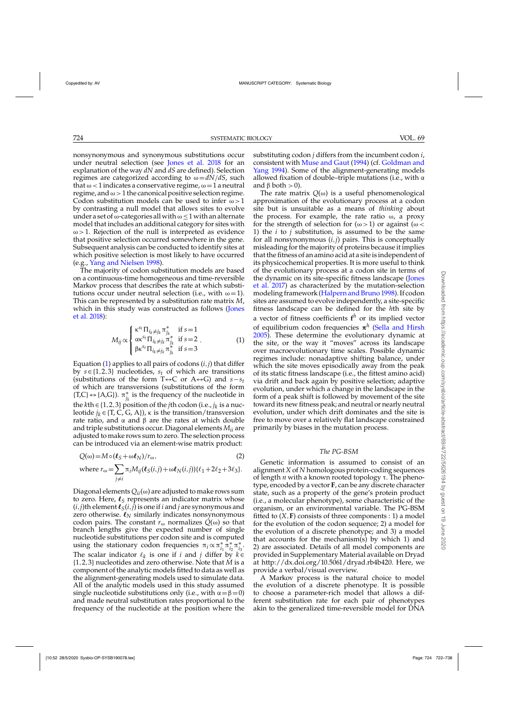<span id="page-2-0"></span>nonsynonymous and synonymous substitutions occur under neutral selection (see [Jones et al. 2018](#page-15-0) for an explanation of the way *dN* and *dS* are defined). Selection regimes are categorized according to  $\omega = dN/dS$ , such that  $\omega$  < 1 indicates a conservative regime,  $\omega$  = 1 a neutral regime, and  $\omega > 1$  the canonical positive selection regime. Codon substitution models can be used to infer  $\omega > 1$ by contrasting a null model that allows sites to evolve under a set of  $\omega$ -categories all with  $\omega$  < 1 with an alternate model that includes an additional category for sites with  $\omega$  > 1. Rejection of the null is interpreted as evidence that positive selection occurred somewhere in the gene. Subsequent analysis can be conducted to identify sites at which positive selection is most likely to have occurred (e.g., [Yang and Nielsen 1998\)](#page-16-0).

The majority of codon substitution models are based on a continuous-time homogeneous and time-reversible Markov process that describes the rate at which substitutions occur under neutral selection (i.e., with  $\omega = 1$ ). This can be represented by a substitution rate matrix *M*, whi[ch in this study was constructed as follows \(](#page-15-0)Jones et al. [2018\)](#page-15-0):

$$
M_{ij} \propto \begin{cases} \kappa^{s_t} \Pi_{i_k \neq j_k} \pi_{j_k}^* & \text{if } s = 1\\ \alpha \kappa^{s_t} \Pi_{i_k \neq j_k} \pi_{j_k}^* & \text{if } s = 2\\ \beta \kappa^{s_t} \Pi_{i_k \neq j_k} \pi_{j_k}^* & \text{if } s = 3 \end{cases}
$$
 (1)

Equation (1) applies to all pairs of codons  $(i, j)$  that differ by  $s \in \{1, 2, 3\}$  nucleotides,  $s_t$  of which are transitions (substitutions of the form T↔C or A↔G) and *s*−*st* of which are transversions (substitutions of the form {T,C} ↔ {A,G}).  $π^*_{j_k}$  is the frequency of the nucleotide in the *k*th ∈ {1, 2, 3} position of the *j*th codon (i.e., *j<sub>k</sub>* is a nucleotide  $j_k \in \{T, C, G, A\}$ ,  $\kappa$  is the transition/transversion rate ratio, and  $\alpha$  and  $\beta$  are the rates at which double and triple substitutions occur. Diagonal elements *Mii* are adjusted to make rows sum to zero. The selection process can be introduced via an element-wise matrix product:

$$
Q(\omega) = M \circ (\ell_S + \omega \ell_N) / r_{\omega},
$$
  
\nwhere  $r_{\omega} = \sum_{j \neq i} \pi_i M_{ij} (\ell_S(i, j) + \omega \ell_N(i, j)) {\ell_1 + 2\ell_2 + 3\ell_3}.$  (2)

Diagonal elements  $Q_{ii}(\omega)$  are adjusted to make rows sum to zero. Here,  $\ell_S$  represents an indicator matrix whose  $(i, j)$ th element  $\boldsymbol{\ell}_S(i, j)$  is one if  $i$  and  $j$  are synonymous and zero otherwise.  $\boldsymbol{\ell}_N$  similarly indicates nonsynonymous codon pairs. The constant  $r_{\omega}$  normalizes  $Q(\omega)$  so that branch lengths give the expected number of single nucleotide substitutions per codon site and is computed using the stationary codon frequencies  $\pi_i \propto \pi_{i_1}^* \pi_{i_2}^* \pi_{i_3}^*$ . The scalar indicator  $\ell_k$  is one if *i* and *j* differ by  $k \in$ {1,2,3} nucleotides and zero otherwise. Note that *M* is a component of the analytic models fitted to data as well as the alignment-generating models used to simulate data. All of the analytic models used in this study assumed single nucleotide substitutions only (i.e., with  $\alpha = \beta = 0$ ) and made neutral substitution rates proportional to the frequency of the nucleotide at the position where the

substituting codon *j* differs from the incumbent codon *i*, consistent with [Muse and Gaut](#page-15-0) [\(1994](#page-15-0)) (cf. Goldman and Yang [1994\)](#page-15-0). Some of the alignment-generating models allowed fixation of double–triple mutations (i.e., with  $\alpha$ and  $\beta$  both  $> 0$ ).

The rate matrix *Q*(ω) is a useful phenomenological approximation of the evolutionary process at a codon site but is unsuitable as a means of *thinking* about the process. For example, the rate ratio  $\omega$ , a proxy for the strength of selection for  $(\omega > 1)$  or against  $(\omega <$ 1) the *i* to *j* substitution, is assumed to be the same for all nonsynonymous (*i*,*j*) pairs. This is conceptually misleading for the majority of proteins because it implies that the fitness of an amino acid at a site is independent of its physicochemical properties. It is more useful to think of the evolutionary process at a codon site in terms of the [dynamic](#page-15-0) [on](#page-15-0) [its](#page-15-0) [site-specific](#page-15-0) [fitness](#page-15-0) [landscape](#page-15-0) [\(](#page-15-0)Jones et al. [2017](#page-15-0)) as characterized by the mutation-selection modeling framework [\(Halpern and Bruno 1998\)](#page-15-0). If codon sites are assumed to evolve independently, a site-specific fitness landscape can be defined for the *h*th site by a vector of fitness coefficients **f***<sup>h</sup>* or its implied vector of equilibrium codon frequencies **π***<sup>h</sup>* [\(Sella and Hirsh](#page-16-0) [2005\)](#page-16-0). These determine the evolutionary dynamic at the site, or the way it "moves" across its landscape over macroevolutionary time scales. Possible dynamic regimes include: nonadaptive shifting balance, under which the site moves episodically away from the peak of its static fitness landscape (i.e., the fittest amino acid) via drift and back again by positive selection; adaptive evolution, under which a change in the landscape in the form of a peak shift is followed by movement of the site toward its new fitness peak; and neutral or nearly neutral evolution, under which drift dominates and the site is free to move over a relatively flat landscape constrained primarily by biases in the mutation process.

### *The PG-BSM*

Genetic information is assumed to consist of an alignment *X* of *N* homologous protein-coding sequences of length  $n$  with a known rooted topology  $\tau$ . The phenotype, encoded by a vector **F**, can be any discrete character state, such as a property of the gene's protein product (i.e., a molecular phenotype), some characteristic of the organism, or an environmental variable. The PG-BSM fitted to  $(X, F)$  consists of three components : 1) a model for the evolution of the codon sequence; 2) a model for the evolution of a discrete phenotype; and 3) a model that accounts for the mechanism(s) by which 1) and 2) are associated. Details of all model components are provided in Supplementary Material available on Dryad at http://dx.doi.org/10.5061/dryad.rb4b420. Here, we provide a verbal/visual overview.

A Markov process is the natural choice to model the evolution of a discrete phenotype. It is possible to choose a parameter-rich model that allows a different substitution rate for each pair of phenotypes akin to the generalized time-reversible model for DNA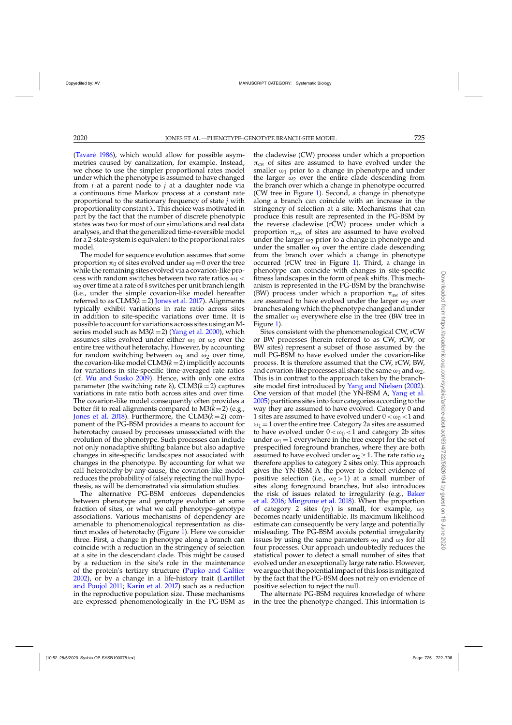[\(Tavaré 1986\)](#page-16-0), which would allow for possible asymmetries caused by canalization, for example. Instead, we chose to use the simpler proportional rates model under which the phenotype is assumed to have changed from *i* at a parent node to *j* at a daughter node via a continuous time Markov process at a constant rate proportional to the stationary frequency of state *j* with proportionality constant . This choice was motivated in part by the fact that the number of discrete phenotypic states was two for most of our simulations and real data analyses, and that the generalized time-reversible model for a 2-state system is equivalent to the proportional rates model.

The model for sequence evolution assumes that some proportion  $\pi_0$  of sites evolved under  $\omega_0 = 0$  over the tree while the remaining sites evolved via a covarion-like process with random switches between two rate ratios  $\omega_1$  < ω<sub>2</sub> over time at a rate of  $δ$  switches per unit branch length (i.e., under the simple covarion-like model hereafter referred to as  $CLM3(k=2)$  [Jones et al. 2017\)](#page-15-0). Alignments typically exhibit variations in rate ratio across sites in addition to site-specific variations over time. It is possible to account for variations across sites using an Mseries model such as M3(*k*=2) [\(Yang et al. 2000\)](#page-16-0), which assumes sites evolved under either  $\omega_1$  or  $\omega_2$  over the entire tree without heterotachy. However, by accounting for random switching between  $\omega_1$  and  $\omega_2$  over time, the covarion-like model  $CLM3(k=2)$  implicitly accounts for variations in site-specific time-averaged rate ratios (cf. [Wu and Susko 2009\)](#page-16-0). Hence, with only one extra parameter (the switching rate  $\delta$ ), CLM3( $k=2$ ) captures variations in rate ratio both across sites and over time. The covarion-like model consequently often provides a better fit to real alignments compared to M3(*k*=2) (e.g., [Jones et al. 2018\)](#page-15-0). Furthermore, the CLM3(*k*=2) component of the PG-BSM provides a means to account for heterotachy caused by processes unassociated with the evolution of the phenotype. Such processes can include not only nonadaptive shifting balance but also adaptive changes in site-specific landscapes not associated with changes in the phenotype. By accounting for what we call heterotachy-by-any-cause, the covarion-like model reduces the probability of falsely rejecting the null hypothesis, as will be demonstrated via simulation studies.

The alternative PG-BSM enforces dependencies between phenotype and genotype evolution at some fraction of sites, or what we call phenotype–genotype associations. Various mechanisms of dependency are amenable to phenomenological representation as distinct modes of heterotachy (Figure [1\)](#page-4-0). Here we consider three. First, a change in phenotype along a branch can coincide with a reduction in the stringency of selection at a site in the descendant clade. This might be caused by a reduction in the site's role in the maintenance of the protein's tertiary structure [\(Pupko and Galtier](#page-16-0) [2002\)](#page-16-0), or [by a change in a life-history trait \(](#page-15-0)Lartillot and Poujol [2011](#page-15-0); [Karin et al. 2017\)](#page-15-0) such as a reduction in the reproductive population size. These mechanisms are expressed phenomenologically in the PG-BSM as

the cladewise (CW) process under which a proportion  $\pi_{\text{cw}}$  of sites are assumed to have evolved under the smaller  $\omega_1$  prior to a change in phenotype and under the larger  $\omega_2$  over the entire clade descending from the branch over which a change in phenotype occurred (CW tree in Figure [1\)](#page-4-0). Second, a change in phenotype along a branch can coincide with an increase in the stringency of selection at a site. Mechanisms that can produce this result are represented in the PG-BSM by the reverse cladewise (rCW) process under which a proportion  $\pi_{\text{rcw}}$  of sites are assumed to have evolved under the larger  $\omega_2$  prior to a change in phenotype and under the smaller  $\omega_1$  over the entire clade descending from the branch over which a change in phenotype occurred (rCW tree in Figure [1\)](#page-4-0). Third, a change in phenotype can coincide with changes in site-specific fitness landscapes in the form of peak shifts. This mechanism is represented in the PG-BSM by the branchwise (BW) process under which a proportion  $\pi_{BW}$  of sites are assumed to have evolved under the larger  $\omega_2$  over branches along which the phenotype changed and under the smaller  $\omega_1$  everywhere else in the tree (BW tree in Figure [1\)](#page-4-0).

Sites consistent with the phenomenological CW, rCW or BW processes (herein referred to as CW, rCW, or BW sites) represent a subset of those assumed by the null PG-BSM to have evolved under the covarion-like process. It is therefore assumed that the CW, rCW, BW, and covarion-like processes all share the same  $\omega_1$  and  $\omega_2$ . This is in contrast to the approach taken by the branchsite model first introduced by [Yang and Nielsen](#page-16-0) [\(2002](#page-16-0)). One version of that model (the YN-BSM A, [Yang et al.](#page-16-0) [2005\)](#page-16-0) partitions sites into four categories according to the way they are assumed to have evolved. Category 0 and 1 sites are assumed to have evolved under  $0 < \omega_0 < 1$  and  $\omega_1 = 1$  over the entire tree. Category 2a sites are assumed to have evolved under  $0 < \omega_0 < 1$  and category 2b sites under  $\omega_1 = 1$  everywhere in the tree except for the set of prespecified foreground branches, where they are both assumed to have evolved under  $\omega_2 \geq 1$ . The rate ratio  $\omega_2$ therefore applies to category 2 sites only. This approach gives the YN-BSM A the power to detect evidence of positive selection (i.e.,  $\omega_2 > 1$ ) at a small number of sites along foreground branches, but also introduces the [risk of issues related to irregularity \(e.g.,](#page-15-0) Baker et al. [2016;](#page-15-0) [Mingrone et al. 2018\)](#page-15-0). When the proportion of category 2 sites  $(p_2)$  is small, for example,  $\omega_2$ becomes nearly unidentifiable. Its maximum likelihood estimate can consequently be very large and potentially misleading. The PG-BSM avoids potential irregularity issues by using the same parameters  $\omega_1$  and  $\omega_2$  for all four processes. Our approach undoubtedly reduces the statistical power to detect a small number of sites that evolved under an exceptionally large rate ratio. However, we argue that the potential impact of this loss is mitigated by the fact that the PG-BSM does not rely on evidence of positive selection to reject the null.

The alternate PG-BSM requires knowledge of where in the tree the phenotype changed. This information is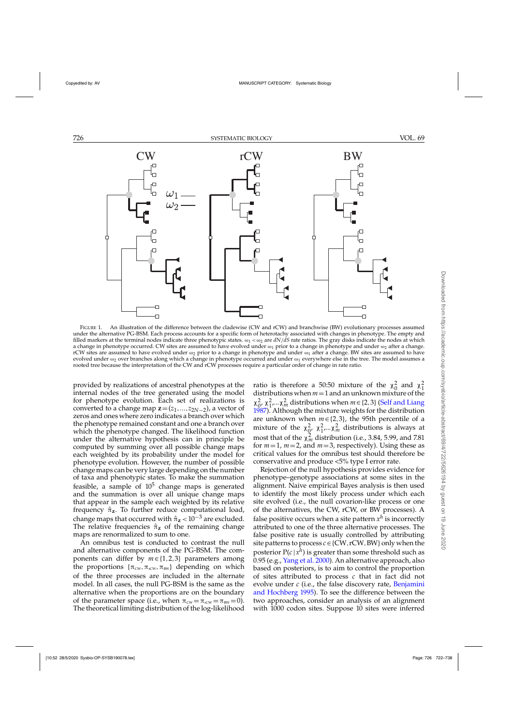<span id="page-4-0"></span>

FIGURE 1. An illustration of the difference between the cladewise (CW and rCW) and branchwise (BW) evolutionary processes assumed under the alternative PG-BSM. Each process accounts for a specific form of heterotachy associated with changes in phenotype. The empty and filled markers at the terminal nodes indicate three phenotypic states.  $\omega_1 < \omega_2$  are  $dN/dS$  rate ratios. The gray disks indicate the nodes at which a change in phenotype occurred. CW sites are assumed to have evolved under  $\omega_1$  prior to a change in phenotype and under  $\omega_2$  after a change. rCW sites are assumed to have evolved under  $\omega_2$  prior to a change in phenotype and under  $\omega_1$  after a change. BW sites are assumed to have evolved under  $\omega_2$  over branches along which a change in phenotype occurred and under  $\omega_1$  everywhere else in the tree. The model assumes a rooted tree because the interpretation of the CW and rCW processes require a particular order of change in rate ratio.

provided by realizations of ancestral phenotypes at the internal nodes of the tree generated using the model for phenotype evolution. Each set of realizations is converted to a change map  $z=(z_1,...,z_{2N-2})$ , a vector of zeros and ones where zero indicates a branch over which the phenotype remained constant and one a branch over which the phenotype changed. The likelihood function under the alternative hypothesis can in principle be computed by summing over all possible change maps each weighted by its probability under the model for phenotype evolution. However, the number of possible change maps can be very large depending on the number of taxa and phenotypic states. To make the summation feasible, a sample of  $10<sup>5</sup>$  change maps is generated and the summation is over all unique change maps that appear in the sample each weighted by its relative frequency  $\hat{\pi}_z$ . To further reduce computational load, change maps that occurred with  $\hat{\pi}_z < 10^{-3}$  are excluded. The relative frequencies  $\hat{\pi}_z$  of the remaining change maps are renormalized to sum to one.

An omnibus test is conducted to contrast the null and alternative components of the PG-BSM. The components can differ by *m*∈ {1,2,3} parameters among the proportions  $\{\pi_{\text{cw}}, \pi_{\text{rcw}}, \pi_{\text{BW}}\}$  depending on which of the three processes are included in the alternate model. In all cases, the null PG-BSM is the same as the alternative when the proportions are on the boundary of the parameter space (i.e., when  $\pi_{\text{cw}} = \pi_{\text{rcw}} = \pi_{\text{BW}} = 0$ ). The theoretical limiting distribution of the log-likelihood

ratio is therefore a 50:50 mixture of the  $\chi_0^2$  and  $\chi_1^2$ distributions when  $m=1$  and an unknown mixture of the  $\chi^2_{0}$ ,  $\chi^2_{1}$ ,..., $\chi^2_{m}$  distributions when  $m \in \{2,3\}$  [\(Self and Liang](#page-16-0) [1987\)](#page-16-0). Although the mixture weights for the distribution are unknown when *m*∈ {2,3}, the 95th percentile of a mixture of the  $\chi^2_{\alpha}$ ,  $\chi^2_{1}$ ,...,  $\chi^2_{m}$  distributions is always at most that of the  $\chi^2_m$  distribution (i.e., 3.84, 5.99, and 7.81) for  $m=1$ ,  $m=2$ , and  $m=3$ , respectively). Using these as critical values for the omnibus test should therefore be conservative and produce <5% type I error rate.

Rejection of the null hypothesis provides evidence for phenotype–genotype associations at some sites in the alignment. Naive empirical Bayes analysis is then used to identify the most likely process under which each site evolved (i.e., the null covarion-like process or one of the alternatives, the CW, rCW, or BW processes). A false positive occurs when a site pattern  $x^h$  is incorrectly attributed to one of the three alternative processes. The false positive rate is usually controlled by attributing site patterns to process *c*∈ {CW,rCW,BW} only when the posterior  $P(c | x^h)$  is greater than some threshold such as 0.95 (e.g., [Yang et al. 2000](#page-16-0)). An alternative approach, also based on posteriors, is to aim to control the proportion of sites attributed to process *c* that in fact did not evolve under *c* [\(i.e., the false discovery rate,](#page-15-0) Benjamini and Hochberg [1995\)](#page-15-0). To see the difference between the two approaches, consider an analysis of an alignment with 1000 codon sites. Suppose 10 sites were inferred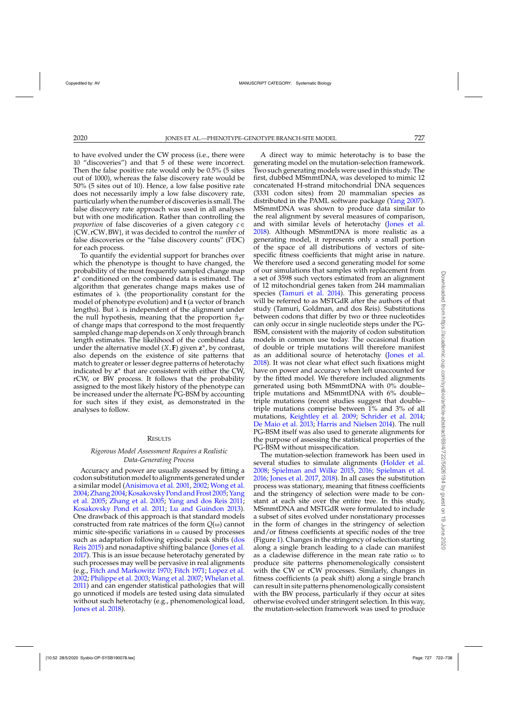to have evolved under the CW process (i.e., there were 10 "discoveries") and that 5 of these were incorrect. Then the false positive rate would only be 0.5% (5 sites out of 1000), whereas the false discovery rate would be 50% (5 sites out of 10). Hence, a low false positive rate does not necessarily imply a low false discovery rate, particularly when the number of discoveriesis small. The false discovery rate approach was used in all analyses but with one modification. Rather than controlling the *proportion* of false discoveries of a given category *c*∈ {CW,rCW,BW}, it was decided to control the *number* of false discoveries or the "false discovery counts" (FDC) for each process.

To quantify the evidential support for branches over which the phenotype is thought to have changed, the probability of the most frequently sampled change map **z**<sup>∗</sup> conditioned on the combined data is estimated. The algorithm that generates change maps makes use of estimates of (the proportionality constant for the model of phenotype evolution) and **t** (a vector of branch lengths). But  $\lambda$  is independent of the alignment under the null hypothesis, meaning that the proportion  $\hat{\pi}_{z^*}$ of change maps that correspond to the most frequently sampled change map depends on *X* only through branch length estimates. The likelihood of the combined data under the alternative model  $(X, F)$  given  $z^*$ , by contrast, also depends on the existence of site patterns that match to greater or lesser degree patterns of heterotachy indicated by **z**<sup>∗</sup> that are consistent with either the CW, rCW, or BW process. It follows that the probability assigned to the most likely history of the phenotype can be increased under the alternate PG-BSM by accounting for such sites if they exist, as demonstrated in the analyses to follow.

### **RESULTS**

# *Rigorous Model Assessment Requires a Realistic Data-Generating Process*

Accuracy and power are usually assessed by fitting a codon substitutionmodel to alignments generated under a similar model [\(Anisimova et al. 2001,](#page-15-0) [2002](#page-15-0); [Wong et al.](#page-16-0) [2004;Zhang 2004;](#page-16-0)[Kosakovsky Pond and Frost 2005;](#page-15-0)Yang et al. [2005](#page-16-0); [Zhang et al. 2005;](#page-16-0) [Yang and dos Reis 2011](#page-16-0); [Kosakovsky Pond et al. 2011](#page-15-0); [Lu and Guindon 2013\)](#page-15-0). One drawback of this approach is that standard models constructed from rate matrices of the form *Q*(ω) cannot mimic site-specific variations in  $\omega$  caused by processes suc[h as adaptation following episodic peak shifts \(](#page-15-0)dos Reis [2015\)](#page-15-0) and nonadaptive shifting balance [\(Jones et al.](#page-15-0) [2017\)](#page-15-0). This is an issue because heterotachy generated by such processes may well be pervasive in real alignments (e.g., [Fitch and Markowitz 1970](#page-15-0); [Fitch 1971;](#page-15-0) [Lopez et al.](#page-15-0) [2002;](#page-15-0) [Philippe et al. 2003;](#page-15-0) [Wang et al. 2007;](#page-16-0) [Whelan et al.](#page-16-0) [2011\)](#page-16-0) and can engender statistical pathologies that will go unnoticed if models are tested using data simulated without such heterotachy (e.g., phenomenological load, [Jones et al. 2018](#page-15-0)).

A direct way to mimic heterotachy is to base the generating model on the mutation-selection framework. Two such generating models were used in this study. The first, dubbed MSmmtDNA, was developed to mimic 12 concatenated H-strand mitochondrial DNA sequences (3331 codon sites) from 20 mammalian species as distributed in the PAML software package [\(Yang 2007](#page-16-0)). MSmmtDNA was shown to produce data similar to the real alignment by several measures of comparison, and with similar levels of heterotachy [\(Jones et al.](#page-15-0) [2018\)](#page-15-0). Although MSmmtDNA is more realistic as a generating model, it represents only a small portion of the space of all distributions of vectors of sitespecific fitness coefficients that might arise in nature. We therefore used a second generating model for some of our simulations that samples with replacement from a set of 3598 such vectors estimated from an alignment of 12 mitochondrial genes taken from 244 mammalian species [\(Tamuri et al. 2014\)](#page-16-0). This generating process will be referred to as MSTGdR after the authors of that study (Tamuri, Goldman, and dos Reis). Substitutions between codons that differ by two or three nucleotides can only occur in single nucleotide steps under the PG-BSM, consistent with the majority of codon substitution models in common use today. The occasional fixation of double or triple mutations will therefore manifest as an additional source of heterotachy [\(Jones et al.](#page-15-0) [2018\)](#page-15-0). It was not clear what effect such fixations might have on power and accuracy when left unaccounted for by the fitted model. We therefore included alignments generated using both MSmmtDNA with 0% double– triple mutations and MSmmtDNA with 6% double– triple mutations (recent studies suggest that double– triple mutations comprise between 1% and 3% of all mutations, [Keightley et al. 2009](#page-15-0); [Schrider et al. 2014](#page-16-0); [De Maio et al. 2013](#page-15-0); [Harris and Nielsen 2014\)](#page-15-0). The null PG-BSM itself was also used to generate alignments for the purpose of assessing the statistical properties of the PG-BSM without misspecification.

The mutation-selection framework has been used in several studies to simulate alignments [\(Holder et al.](#page-15-0) [2008;](#page-15-0) [Spielman and Wilke 2015,](#page-16-0) [2016;](#page-16-0) [Spielman et al.](#page-16-0) [2016;](#page-16-0) [Jones et al. 2017](#page-15-0), [2018](#page-15-0)). In all cases the substitution process was stationary, meaning that fitness coefficients and the stringency of selection were made to be constant at each site over the entire tree. In this study, MSmmtDNA and MSTGdR were formulated to include a subset of sites evolved under nonstationary processes in the form of changes in the stringency of selection and/or fitness coefficients at specific nodes of the tree (Figure [1\)](#page-4-0). Changes in the stringency of selection starting along a single branch leading to a clade can manifest as a cladewise difference in the mean rate ratio ω to produce site patterns phenomenologically consistent with the CW or rCW processes. Similarly, changes in fitness coefficients (a peak shift) along a single branch can result in site patterns phenomenologically consistent with the BW process, particularly if they occur at sites otherwise evolved under stringent selection. In this way, the mutation-selection framework was used to produce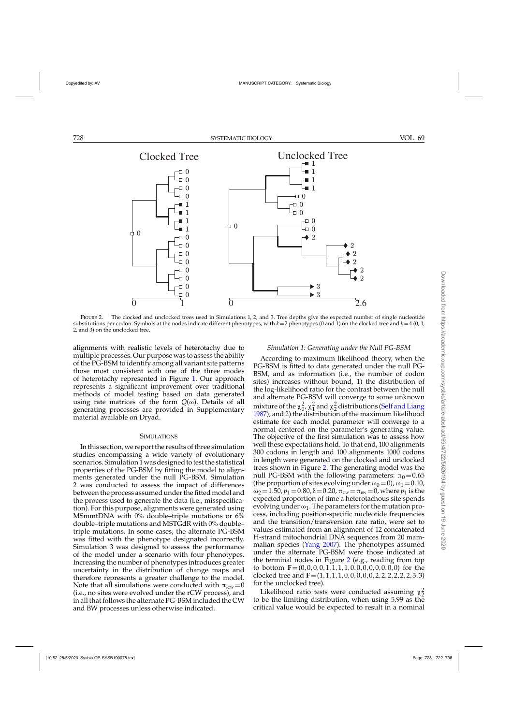<span id="page-6-0"></span>

FIGURE 2. The clocked and unclocked trees used in Simulations 1, 2, and 3. Tree depths give the expected number of single nucleotide substitutions per codon. Symbols at the nodes indicate different phenotypes, with *k*=2 phenotypes (0 and 1) on the clocked tree and *k*=4 (0, 1, 2, and 3) on the unclocked tree.

alignments with realistic levels of heterotachy due to multiple processes. Our purpose was to assess the ability of the PG-BSM to identify among all variant site patterns those most consistent with one of the three modes of heterotachy represented in Figure [1.](#page-4-0) Our approach represents a significant improvement over traditional methods of model testing based on data generated using rate matrices of the form  $Q(\omega)$ . Details of all generating processes are provided in Supplementary material available on Dryad.

#### **SIMULATIONS**

In this section, we report the results of three simulation studies encompassing a wide variety of evolutionary scenarios. Simulation 1 was designed to test the statistical properties of the PG-BSM by fitting the model to alignments generated under the null PG-BSM. Simulation 2 was conducted to assess the impact of differences between the process assumed under the fitted model and the process used to generate the data (i.e., misspecification). For this purpose, alignments were generated using MSmmtDNA with 0% double–triple mutations or 6% double–triple mutations and MSTGdR with 0% double– triple mutations. In some cases, the alternate PG-BSM was fitted with the phenotype designated incorrectly. Simulation 3 was designed to assess the performance of the model under a scenario with four phenotypes. Increasing the number of phenotypes introduces greater uncertainty in the distribution of change maps and therefore represents a greater challenge to the model. Note that all simulations were conducted with  $\pi_{\text{rcw}} = 0$ (i.e., no sites were evolved under the rCW process), and in all that follows the alternate PG-BSM included the CW and BW processes unless otherwise indicated.

### *Simulation 1: Generating under the Null PG-BSM*

According to maximum likelihood theory, when the PG-BSM is fitted to data generated under the null PG-BSM, and as information (i.e., the number of codon sites) increases without bound, 1) the distribution of the log-likelihood ratio for the contrast between the null and alternate PG-BSM will converge to some unknown mixture of the  $\chi_0^2$ ,  $\chi_1^2$  and  $\chi_2^2$  distributions [\(Self and Liang](#page-16-0) [1987\)](#page-16-0), and 2) the distribution of the maximum likelihood estimate for each model parameter will converge to a normal centered on the parameter's generating value. The objective of the first simulation was to assess how well these expectations hold. To that end, 100 alignments 300 codons in length and 100 alignments 1000 codons in length were generated on the clocked and unclocked trees shown in Figure 2. The generating model was the null PG-BSM with the following parameters:  $\pi_0 = 0.65$ (the proportion of sites evolving under  $\omega_0 = 0$ ),  $\omega_1 = 0.10$ ,  $\omega_2 = 1.50$ ,  $p_1 = 0.80$ ,  $\delta = 0.20$ ,  $\pi_{\text{cw}} = \pi_{\text{BW}} = 0$ , where  $p_1$  is the expected proportion of time a heterotachous site spends evolving under  $\omega_1$ . The parameters for the mutation process, including position-specific nucleotide frequencies and the transition/transversion rate ratio, were set to values estimated from an alignment of 12 concatenated H-strand mitochondrial DNA sequences from 20 mammalian species [\(Yang 2007\)](#page-16-0). The phenotypes assumed under the alternate PG-BSM were those indicated at the terminal nodes in Figure 2 (e.g., reading from top to bottom **F**=(0,0,0,0,1,1,1,1,0,0,0,0,0,0,0,0) for the clocked tree and **F**=(1,1,1,1,0,0,0,0,0,2,2,2,2,2,2,3,3) for the unclocked tree).

Likelihood ratio tests were conducted assuming  $\chi^2$ to be the limiting distribution, when using 5.99 as the critical value would be expected to result in a nominal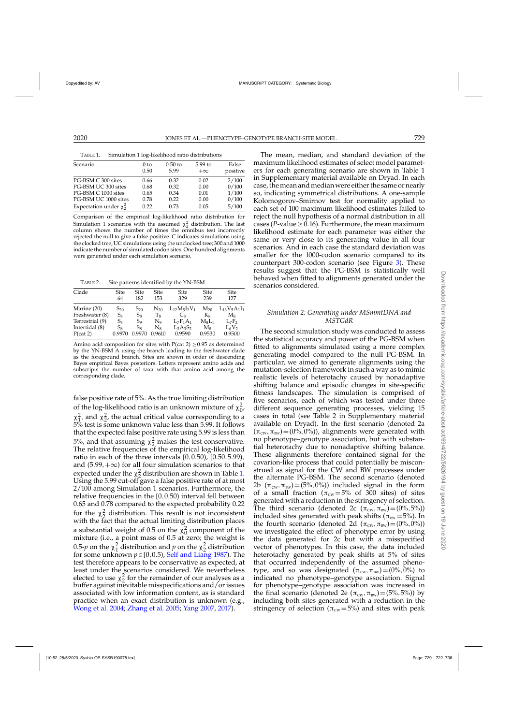<span id="page-7-0"></span>TABLE 1. Simulation 1 log-likelihood ratio distributions

| Scenario                   | 0 <sub>to</sub> | $0.50$ to | $5.99$ to | False    |
|----------------------------|-----------------|-----------|-----------|----------|
|                            | 0.50            | 5.99      | $+\infty$ | positive |
| PG-BSM C 300 sites         | 0.66            | 0.32      | 0.02      | 2/100    |
| PG-BSM UC 300 sites        | 0.68            | 0.32      | 0.00      | 0/100    |
| PG-BSM C 1000 sites        | 0.65            | 0.34      | 0.01      | 1/100    |
| PG-BSM UC 1000 sites       | 0.78            | 0.22      | 0.00      | 0/100    |
| Expectation under $\chi^2$ | 0.22            | 0.73      | 0.05      | 5/100    |

Comparison of the empirical log-likelihood ratio distribution for Simulation 1 scenarios with the assumed  $\chi^2$  distribution. The last column shows the number of times the omnibus test incorrectly rejected the null to give a false positive. C indicates simulations using the clocked tree, UC simulations using the unclocked tree; 300 and  $100\overline{0}$ indicate the number of simulated codon sites. One hundred alignments were generated under each simulation scenario.

TABLE 2. Site patterns identified by the YN-BSM

| Clade           | Site           | <b>Site</b>    | Site     | <b>Site</b>             | Site     | <b>Site</b>       |
|-----------------|----------------|----------------|----------|-------------------------|----------|-------------------|
|                 | 64             | 182            | 153      | 329                     | 239      | 127               |
| Marine (20)     | $S_{20}$       | $S_{20}$       | $N_{20}$ | $L_{12}M_{5}I_{2}V_{1}$ | $M_{20}$ | $L_{13}V_5A_1I_1$ |
| Freshwater (8)  | $S_8$          | $S_8$          | Tg       | Ċя                      | $K_8$    | Mg                |
| Terrestrial (9) | S <sub>9</sub> | S <sub>9</sub> | No       | $L_7F_1A_1$             | $M_8L_1$ | $L_7F_2$          |
| Intertidal (8)  | $S_8$          | $S_8$          | N8       | $L_3A_3S_2$             | Ms       | $L_6V_2$          |
| P(cat 2)        | 0.9970         | 0.9970         | 0.9610   | 0.9590                  | 0.9530   | 0.9500            |

Amino acid composition for sites with  $P(\text{cat } 2) \geq 0.95$  as determined by the YN-BSM A using the branch leading to the freshwater clade as the foreground branch. Sites are shown in order of descending Bayes empirical Bayes posteriors. Letters represent amino acids and subscripts the number of taxa with that amino acid among the corresponding clade.

false positive rate of 5%. As the true limiting distribution of the log-likelihood ratio is an unknown mixture of  $\chi_0^2$ ,  $\chi^2$ , and  $\chi^2$ , the actual critical value corresponding to a 5% test is some unknown value less than 5.99. It follows that the expected false positive rate using 5.99 is less than 5%, and that assuming  $\chi^2$  makes the test conservative. The relative frequencies of the empirical log-likelihood ratio in each of the three intervals [0,0.50), [0.50,5.99), and  $(5.99, +\infty)$  for all four simulation scenarios to that expected under the  $\chi^2$  distribution are shown in Table 1. Using the 5.99 cut-off gave a false positive rate of at most 2/100 among Simulation 1 scenarios. Furthermore, the relative frequencies in the [0,0.50) interval fell between 0.65 and 0.78 compared to the expected probability 0.22 for the  $\chi^2$  distribution. This result is not inconsistent with the fact that the actual limiting distribution places a substantial weight of 0.5 on the  $\chi_0^2$  component of the mixture (i.e., a point mass of 0.5 at zero; the weight is 0.5-*p* on the  $\chi^2$  distribution and *p* on the  $\chi^2$  distribution for some unknown  $p \in [0, 0.5)$ , [Self and Liang 1987](#page-16-0)). The test therefore appears to be conservative as expected, at least under the scenarios considered. We nevertheless elected to use  $\chi^2$  for the remainder of our analyses as a buffer against inevitable misspecifications and/or issues associated with low information content, as is standard practice when an exact distribution is unknown (e.g., [Wong et al. 2004;](#page-16-0) [Zhang et al. 2005](#page-16-0); [Yang 2007](#page-16-0), [2017](#page-16-0)).

The mean, median, and standard deviation of the maximum likelihood estimates of select model parameters for each generating scenario are shown in Table 1 in Supplementary material available on Dryad. In each case, themean andmedian were either the same or nearly so, indicating symmetrical distributions. A one-sample Kolomogorov–Smirnov test for normality applied to each set of 100 maximum likelihood estimates failed to reject the null hypothesis of a normal distribution in all cases (*P*-value  $\geq$  0.16). Furthermore, the mean maximum likelihood estimate for each parameter was either the same or very close to its generating value in all four scenarios. And in each case the standard deviation was smaller for the 1000-codon scenario compared to its counterpart 300-codon scenario (see Figure [3\)](#page-8-0). These results suggest that the PG-BSM is statistically well behaved when fitted to alignments generated under the scenarios considered.

## *Simulation 2: Generating under MSmmtDNA and MSTGdR*

The second simulation study was conducted to assess the statistical accuracy and power of the PG-BSM when fitted to alignments simulated using a more complex generating model compared to the null PG-BSM. In particular, we aimed to generate alignments using the mutation-selection framework in such a way as to mimic realistic levels of heterotachy caused by nonadaptive shifting balance and episodic changes in site-specific fitness landscapes. The simulation is comprised of five scenarios, each of which was tested under three different sequence generating processes, yielding 15 cases in total (see Table 2 in Supplementary material available on Dryad). In the first scenario (denoted 2a  $(\pi_{\text{cw}},\pi_{\text{BW}})=(0\%,0\%)$ , alignments were generated with no phenotype–genotype association, but with substantial heterotachy due to nonadaptive shifting balance. These alignments therefore contained signal for the covarion-like process that could potentially be misconstrued as signal for the CW and BW processes under the alternate PG-BSM. The second scenario (denoted 2b  $(\pi_{\text{cw}}, \pi_{\text{BW}})$  = (5%,0%)) included signal in the form of a small fraction ( $\pi_{\text{cw}} = 5\%$  of 300 sites) of sites generated with a reduction in the stringency of selection. The third scenario (denoted 2c  $(\pi_{\text{cw}}, \pi_{\text{BW}}) = (0\%, 5\%)$ ) included sites generated with peak shifts ( $\pi_{BW} = 5\%$ ). In the fourth scenario (denoted 2d  $(\pi_{\text{cw}}, \pi_{\text{BW}}) = (0\%, 0\%)$ ) we investigated the effect of phenotype error by using the data generated for 2c but with a misspecified vector of phenotypes. In this case, the data included heterotachy generated by peak shifts at 5% of sites that occurred independently of the assumed phenotype, and so was designated  $(\pi_{\text{cw}},\pi_{\text{BW}})=(0\%,0\%)$  to indicated no phenotype–genotype association. Signal for phenotype–genotype association was increased in the final scenario (denoted 2e ( $\pi_{\text{cw}}, \pi_{\text{BW}}$ ) =(5%,5%)) by including both sites generated with a reduction in the stringency of selection ( $\pi_{\text{cw}} = 5\%$ ) and sites with peak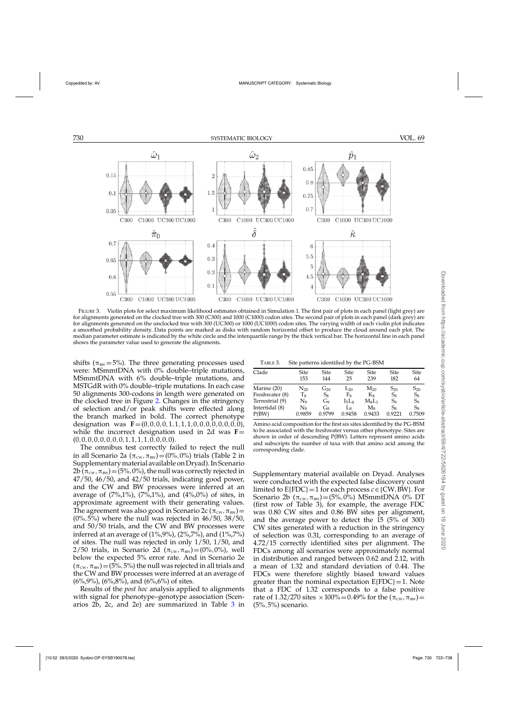<span id="page-8-0"></span>

FIGURE 3. Violin plots for select maximum likelihood estimates obtained in Simulation 1. The first pair of plots in each panel (light grey) are for alignments generated on the clocked tree with 300 (C300) and 1000 (C1000) codon sites. The second pair of plots in each panel (dark grey) are for alignments generated on the unclocked tree with 300 (UC300) or 1000 (UC1000) codon sites. The varying width of each violin plot indicates a smoothed probability density. Data points are marked as disks with random horizontal offset to produce the cloud around each plot. The median parameter estimate is indicated by the white circle and the interquartile range by the thick vertical bar. The horizontal line in each panel shows the parameter value used to generate the alignments.

shifts ( $\pi_{BW} = 5\%$ ). The three generating processes used were: MSmmtDNA with 0% double–triple mutations, MSmmtDNA with 6% double–triple mutations, and MSTGdR with 0% double–triple mutations. In each case 50 alignments 300-codons in length were generated on the clocked tree in Figure [2.](#page-6-0) Changes in the stringency of selection and/or peak shifts were effected along the branch marked in bold. The correct phenotype designation was  $\mathbf{F}=(0,0,0,0,1,1,1,1,0,0,0,0,0,0,0,0)$ , while the incorrect designation used in 2d was  $F=$  $(0,0,0,0,0,0,0,0,1,1,1,1,0,0,0,0).$ 

The omnibus test correctly failed to reject the null in all Scenario 2a ( $\pi_{\text{cw}}, \pi_{\text{BW}}$ ) = (0%,0%) trials (Table 2 in Supplementarymaterial available on Dryad). In Scenario 2b ( $\pi_{\text{cw}},\pi_{\text{BW}}$ ) = (5%, 0%), the null was correctly rejected in 47/50, 46/50, and 42/50 trials, indicating good power, and the CW and BW processes were inferred at an average of  $(7\%, 1\%)$ ,  $(7\%, 1\%)$ , and  $(4\%, 0\%)$  of sites, in approximate agreement with their generating values. The agreement was also good in Scenario 2c ( $\pi_{\text{cw}}, \pi_{\text{BW}}$ ) =  $(0\%, 5\%)$  where the null was rejected in 46/50, 38/50, and 50/50 trials, and the CW and BW processes were inferred at an average of  $(1\%, 9\%)$ ,  $(2\%, 7\%)$ , and  $(1\%, 7\%)$ of sites. The null was rejected in only 1/50, 1/50, and 2/50 trials, in Scenario 2d (π<sub>cw</sub>, π<sub>bW</sub>)=(0%,0%), well below the expected 5% error rate. And in Scenario 2e  $(\pi_{\text{cw}},\pi_{\text{BW}})=(5\%,5\%)$  the null was rejected in all trials and the CW and BW processes were inferred at an average of  $(6\%, 9\%)$ ,  $(6\%, 8\%)$ , and  $(6\%, 6\%)$  of sites.

Results of the *post hoc* analysis applied to alignments with signal for phenotype–genotype association (Scenarios 2b, 2c, and 2e) are summarized in Table 3 in

TABLE 3. Site patterns identified by the PG-BSM

| Clade           | Site         | Site     | <b>Site</b> | <b>Site</b> | Site           | Site           |
|-----------------|--------------|----------|-------------|-------------|----------------|----------------|
|                 | 153          | 144      | 25          | 239         | 182            | 64             |
| Marine (20)     | $\rm N_{20}$ | $G_{20}$ | $L_{20}$    | $M_{20}$    | $S_{20}$       | $S_{20}$       |
| Freshwater (8)  | Тg           | $S_8$    | Fs          | $K_8$       | $S_8$          | $S_8$          |
| Terrestrial (9) | N9           | Go       | $I_5L_4$    | $M_8L_1$    | S <sub>9</sub> | S <sub>9</sub> |
| Intertidal (8)  | $\rm N_{8}$  | G8       | Lg          | Mg          | $S_8$          | $S_8$          |
| P(BW)           | 0.9859       | 0.9799   | 0.9458      | 0.9433      | 0.9221         | 0.7509         |

Amino acid composition for the first six sites identified by the PG-BSM to be associated with the freshwater versus other phenotype. Sites are shown in order of descending P(BW). Letters represent amino acids and subscripts the number of taxa with that amino acid among the corresponding clade.

Supplementary material available on Dryad. Analyses were conducted with the expected false discovery count limited to  $E\{FDC\}=1$  for each process  $c \in \{CW, BW\}$ . For Scenario 2b  $(\pi_{\text{cw}}, \pi_{\text{BW}})$  = (5%,0%) MSmmtDNA 0% DT (first row of Table 3), for example, the average FDC was 0.80 CW sites and 0.86 BW sites per alignment, and the average power to detect the  $15$  ( $5\%$  of 300) CW sites generated with a reduction in the stringency of selection was 0.31, corresponding to an average of 4.72/15 correctly identified sites per alignment. The FDCs among all scenarios were approximately normal in distribution and ranged between 0.62 and 2.12, with a mean of 1.32 and standard deviation of 0.44. The FDCs were therefore slightly biased toward values greater than the nominal expectation  $E(FDC) = 1$ . Note that a FDC of 1.32 corresponds to a false positive rate of 1.32/270 sites  $\times 100\% = 0.49\%$  for the  $(\pi_{\text{cw}}, \pi_{\text{BW}}) =$ (5%,5%) scenario.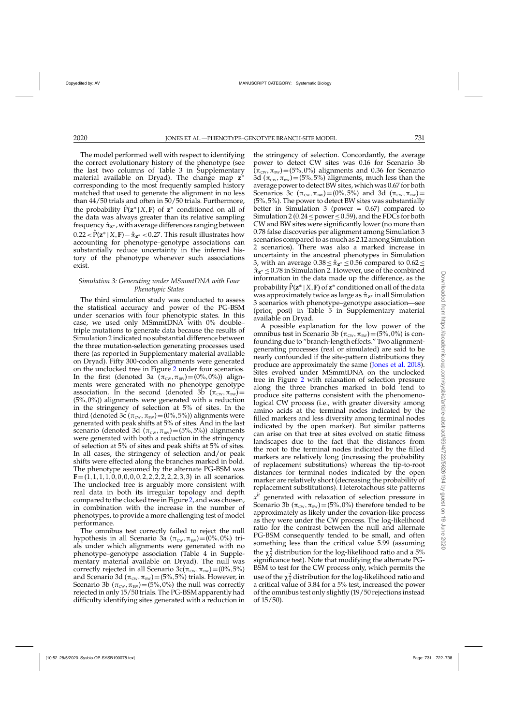The model performed well with respect to identifying the correct evolutionary history of the phenotype (see the last two columns of Table 3 in Supplementary material available on Dryad). The change map **z**<sup>∗</sup> corresponding to the most frequently sampled history matched that used to generate the alignment in no less than 44/50 trials and often in 50/50 trials. Furthermore, the probability  $\overline{P}(z^* | X, F)$  of  $z^*$  conditioned on all of the data was always greater than its relative sampling frequencyˆ **<sup>z</sup>**<sup>∗</sup> , with average differences ranging between  $0.22 < \hat{P}(z^* | X, F) - \hat{\pi}_{z^*} < 0.27$ . This result illustrates how accounting for phenotype–genotype associations can substantially reduce uncertainty in the inferred history of the phenotype whenever such associations exist.

# *Simulation 3: Generating under MSmmtDNA with Four Phenotypic States*

The third simulation study was conducted to assess the statistical accuracy and power of the PG-BSM under scenarios with four phenotypic states. In this case, we used only MSmmtDNA with 0% double– triple mutations to generate data because the results of Simulation 2 indicated no substantial difference between the three mutation-selection generating processes used there (as reported in Supplementary material available on Dryad). Fifty 300-codon alignments were generated on the unclocked tree in Figure [2](#page-6-0) under four scenarios. In the first (denoted 3a  $(\pi_{\text{cw}}, \pi_{\text{BW}}) = (0\%, 0\%)$ ) alignments were generated with no phenotype–genotype association. In the second (denoted 3b  $(\pi_{\text{cw}}, \pi_{\text{BW}})$ = (5%,0%)) alignments were generated with a reduction in the stringency of selection at 5% of sites. In the third (denoted 3c ( $\pi_{\text{cw}}, \pi_{\text{BW}}$ ) = (0%,5%)) alignments were generated with peak shifts at 5% of sites. And in the last scenario (denoted 3d  $(\pi_{\text{cw}},\pi_{\text{BW}})=(5\%,5\%)$ ) alignments were generated with both a reduction in the stringency of selection at 5% of sites and peak shifts at 5% of sites. In all cases, the stringency of selection and/or peak shifts were effected along the branches marked in bold. The phenotype assumed by the alternate PG-BSM was  **in all scenarios.** The unclocked tree is arguably more consistent with real data in both its irregular topology and depth compared to the clocked tree in Figure [2,](#page-6-0) and was chosen, in combination with the increase in the number of phenotypes, to provide a more challenging test of model performance.

The omnibus test correctly failed to reject the null hypothesis in all Scenario 3a  $(\pi_{\text{cw}}, \pi_{\text{BW}})=(0\%, 0\%)$  trials under which alignments were generated with no phenotype–genotype association (Table 4 in Supplementary material available on Dryad). The null was correctly rejected in all Scenario 3c( $\pi_{\text{cw}}, \pi_{\text{BW}}$ ) = (0%, 5%) and Scenario 3d ( $\pi_{\text{cw}}, \pi_{\text{BW}}$ ) = (5%, 5%) trials. However, in Scenario 3b  $(\pi_{\text{cw}}, \pi_{\text{BW}})$  = (5%,0%) the null was correctly rejected in only 15/50 trials. The PG-BSM apparently had difficulty identifying sites generated with a reduction in the stringency of selection. Concordantly, the average power to detect CW sites was 0.16 for Scenario 3b  $(\pi_{\text{cw}},\pi_{\text{BW}})=(5\%,0\%)$  alignments and 0.36 for Scenario 3d  $(\pi_{\text{cw}},\pi_{\text{BW}})=(5\%,5\%)$  alignments, much less than the average power to detect BW sites, which was 0.67 for both Scenarios 3c ( $\pi_{\text{cw}}, \pi_{\text{BW}}$ ) = (0%,5%) and 3d ( $\pi_{\text{cw}}, \pi_{\text{BW}}$ ) = (5%,5%). The power to detect BW sites was substantially better in Simulation 3 (power  $= 0.67$ ) compared to Simulation 2 (0.24 < power <  $0.59$ ), and the FDCs for both CW and BW sites were significantly lower (no more than 0.78 false discoveries per alignment among Simulation 3 scenarios compared to as much as 2.12 among Simulation 2 scenarios). There was also a marked increase in uncertainty in the ancestral phenotypes in Simulation 3, with an average 0.38≤ ˆ**z**<sup>∗</sup> ≤0.56 compared to 0.62≤ ˆ **<sup>z</sup>**<sup>∗</sup> ≤0.78 in Simulation 2. However, use of the combined information in the data made up the difference, as the probability  $\hat{P}(\mathbf{z}^* | X, \mathbf{F})$  of  $\mathbf{z}^*$  conditioned on all of the data was approximately twice as large as ˆ **<sup>z</sup>**<sup>∗</sup> in all Simulation 3 scenarios with phenotype–genotype association—see (prior, post) in Table 5 in Supplementary material available on Dryad.

A possible explanation for the low power of the omnibus test in Scenario 3b ( $\pi_{\text{cw}}, \pi_{\text{BW}}$ ) = (5%,0%) is confounding due to "branch-length effects." Two alignmentgenerating processes (real or simulated) are said to be nearly confounded if the site-pattern distributions they produce are approximately the same [\(Jones et al. 2018](#page-15-0)). Sites evolved under MSmmtDNA on the unclocked tree in Figure [2](#page-6-0) with relaxation of selection pressure along the three branches marked in bold tend to produce site patterns consistent with the phenomenological CW process (i.e., with greater diversity among amino acids at the terminal nodes indicated by the filled markers and less diversity among terminal nodes indicated by the open marker). But similar patterns can arise on that tree at sites evolved on static fitness landscapes due to the fact that the distances from the root to the terminal nodes indicated by the filled markers are relatively long (increasing the probability of replacement substitutions) whereas the tip-to-root distances for terminal nodes indicated by the open marker are relatively short (decreasing the probability of replacement substitutions). Heterotachous site patterns *x<sup>h</sup>* generated with relaxation of selection pressure in Scenario 3b ( $\pi_{\text{cw}}, \pi_{\text{BW}}$ ) = (5%,0%) therefore tended to be approximately as likely under the covarion-like process as they were under the CW process. The log-likelihood ratio for the contrast between the null and alternate PG-BSM consequently tended to be small, and often something less than the critical value 5.99 (assuming the  $\chi^2$  distribution for the log-likelihood ratio and a 5% significance test). Note that modifying the alternate PG-BSM to test for the CW process only, which permits the use of the  $\chi_1^2$  distribution for the log-likelihood ratio and a critical value of 3.84 for a 5% test, increased the power of the omnibus test only slightly (19/50 rejections instead of 15/50).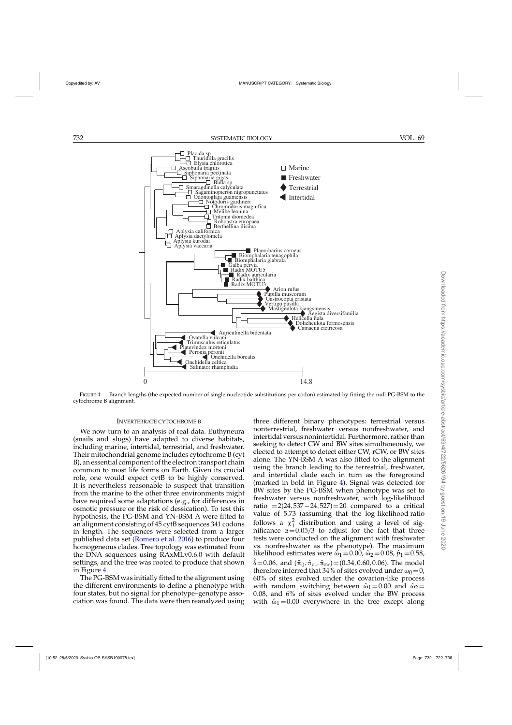

FIGURE 4. Branch lengths (the expected number of single nucleotide substitutions per codon) estimated by fitting the null PG-BSM to the cytochrome B alignment.

### INVERTEBRATE CYTOCHROME B

We now turn to an analysis of real data. Euthyneura (snails and slugs) have adapted to diverse habitats, including marine, intertidal, terrestrial, and freshwater. Their mitochondrial genome includes cytochrome B (cyt B), an essential component of the electron transport chain common to most life forms on Earth. Given its crucial role, one would expect cytB to be highly conserved. It is nevertheless reasonable to suspect that transition from the marine to the other three environments might have required some adaptations (e.g., for differences in osmotic pressure or the risk of dessication). To test this hypothesis, the PG-BSM and YN-BSM A were fitted to an alignment consisting of 45 cytB sequences 341 codons in length. The sequences were selected from a larger published data set [\(Romero et al. 2016\)](#page-16-0) to produce four homogeneous clades. Tree topology was estimated from the DNA sequences using RAxMLv0.6.0 with default settings, and the tree was rooted to produce that shown in Figure 4.

The PG-BSM was initially fitted to the alignment using the different environments to define a phenotype with four states, but no signal for phenotype–genotype association was found. The data were then reanalyzed using three different binary phenotypes: terrestrial versus nonterrestrial, freshwater versus nonfreshwater, and intertidal versus nonintertidal. Furthermore, rather than seeking to detect CW and BW sites simultaneously, we elected to attempt to detect either CW, rCW, or BW sites alone. The YN-BSM A was also fitted to the alignment using the branch leading to the terrestrial, freshwater, and intertidal clade each in turn as the foreground (marked in bold in Figure 4). Signal was detected for BW sites by the PG-BSM when phenotype was set to freshwater versus nonfreshwater, with log-likelihood ratio =2(24,537 – 24,527) = 20 compared to a critical value of 5.73 (assuming that the log-likelihood ratio follows a  $\chi^2$  distribution and using a level of significance  $\alpha = 0.05/3$  to adjust for the fact that three tests were conducted on the alignment with freshwater vs. nonfreshwater as the phenotype). The maximum likelihood estimates were  $\hat{\omega}_1 = 0.00$ ,  $\hat{\omega}_2 = 0.08$ ,  $\hat{p}_1 = 0.58$ ,  $\hat{\delta}$  = 0.06, and  $(\hat{\pi}_0, \hat{\pi}_{\text{CL}}, \hat{\pi}_{\text{BW}})$  = (0.34, 0.60, 0.06). The model therefore inferred that 34% of sites evolved under  $\omega_0 = 0$ , 60% of sites evolved under the covarion-like process with random switching between  $\hat{\omega}_1 = 0.00$  and  $\hat{\omega}_2 =$ 0.08, and 6% of sites evolved under the BW process with  $\hat{\omega}_1 = 0.00$  everywhere in the tree except along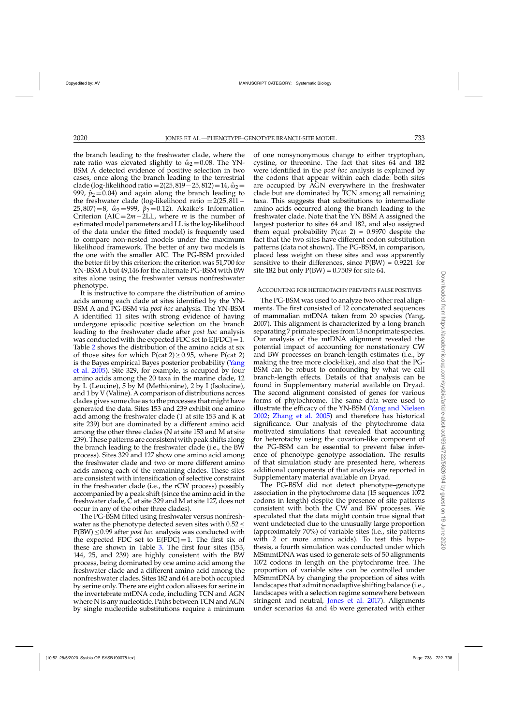the branch leading to the freshwater clade, where the rate ratio was elevated slightly to  $\hat{\omega}_2 = 0.08$ . The YN-BSM A detected evidence of positive selection in two cases, once along the branch leading to the terrestrial clade (log-likelihood ratio = 2(25, 819 – 25, 812) = 14,  $\hat{\omega}_2$  = 999,  $\hat{p}_2$  = 0.04) and again along the branch leading to the freshwater clade (log-likelihood ratio =2(25,811−  $25,807$ )=8,  $\hat{\omega}_2$ =999,  $\hat{p}_2$ =0.12). Akaike's Information Criterion (AIC=2*m*−2LL, where *m* is the number of estimated model parameters and LL is the log-likelihood of the data under the fitted model) is frequently used to compare non-nested models under the maximum likelihood framework. The better of any two models is the one with the smaller AIC. The PG-BSM provided the better fit by this criterion: the criterion was 51,700 for YN-BSM A but 49,146 for the alternate PG-BSM with BW sites alone using the freshwater versus nonfreshwater phenotype.

It is instructive to compare the distribution of amino acids among each clade at sites identified by the YN-BSM A and PG-BSM via *post hoc* analysis. The YN-BSM A identified 11 sites with strong evidence of having undergone episodic positive selection on the branch leading to the freshwater clade after *post hoc* analysis was conducted with the expected FDC set to  $E\{FDC\}=1$ . Table [2](#page-7-0) shows the distribution of the amino acids at six of those sites for which  $P(\text{cat } 2) \ge 0.95$ , where  $P(\text{cat } 2)$ is th[e Bayes empirical Bayes posterior probability \(](#page-16-0)Yang et al. [2005\)](#page-16-0). Site 329, for example, is occupied by four amino acids among the 20 taxa in the marine clade, 12 by L (Leucine), 5 by M (Methionine), 2 by I (Isolucine), and 1 by V (Valine). A comparison of distributions across clades gives some clue as to the processes that might have generated the data. Sites 153 and 239 exhibit one amino acid among the freshwater clade (T at site 153 and K at site 239) but are dominated by a different amino acid among the other three clades ( $\dot{N}$  at site 153 and M at site 239). These patterns are consistent with peak shifts along the branch leading to the freshwater clade (i.e., the BW process). Sites 329 and 127 show one amino acid among the freshwater clade and two or more different amino acids among each of the remaining clades. These sites are consistent with intensification of selective constraint in the freshwater clade (i.e., the rCW process) possibly accompanied by a peak shift (since the amino acid in the freshwater clade, C at site 329 and M at site 127, does not occur in any of the other three clades).

The PG-BSM fitted using freshwater versus nonfreshwater as the phenotype detected seven sites with  $0.52 \leq$ P(BW) ≤0.99 after *post hoc* analysis was conducted with the expected FDC set to  $E$ {FDC} = 1. The first six of these are shown in Table [3.](#page-8-0) The first four sites (153, 144, 25, and 239) are highly consistent with the BW process, being dominated by one amino acid among the freshwater clade and a different amino acid among the nonfreshwater clades. Sites 182 and 64 are both occupied by serine only. There are eight codon aliases for serine in the invertebrate mtDNA code, including TCN and AGN where N is any nucleotide. Paths between TCN and AGN by single nucleotide substitutions require a minimum

of one nonsynonymous change to either tryptophan, cystine, or threonine. The fact that sites 64 and 182 were identified in the *post hoc* analysis is explained by the codons that appear within each clade: both sites are occupied by AGN everywhere in the freshwater clade but are dominated by TCN among all remaining taxa. This suggests that substitutions to intermediate amino acids occurred along the branch leading to the freshwater clade. Note that the YN BSM A assigned the largest posterior to sites 64 and 182, and also assigned them equal probability  $P(cat 2) = 0.9970$  despite the fact that the two sites have different codon substitution patterns (data not shown). The PG-BSM, in comparison, placed less weight on these sites and was apparently sensitive to their differences, since  $P(BW) = 0.9221$  for site 182 but only  $P(BW) = 0.7509$  for site 64.

### ACCOUNTING FOR HETEROTACHY PREVENTS FALSE POSITIVES

The PG-BSM was used to analyze two other real alignments. The first consisted of 12 concatenated sequences of mammalian mtDNA taken from 20 species (Yang, 2007). This alignment is characterized by a long branch separating 7 primate species from 13 nonprimate species. Our analysis of the mtDNA alignment revealed the potential impact of accounting for nonstationary CW and BW processes on branch-length estimates (i.e., by making the tree more clock-like), and also that the PG-BSM can be robust to confounding by what we call branch-length effects. Details of that analysis can be found in Supplementary material available on Dryad. The second alignment consisted of genes for various forms of phytochrome. The same data were used to illustrate the efficacy of the YN-BSM [\(Yang and Nielsen](#page-16-0) [2002;](#page-16-0) [Zhang et al. 2005\)](#page-16-0) and therefore has historical significance. Our analysis of the phytochrome data motivated simulations that revealed that accounting for heterotachy using the covarion-like component of the PG-BSM can be essential to prevent false inference of phenotype–genotype association. The results of that simulation study are presented here, whereas additional components of that analysis are reported in Supplementary material available on Dryad.

The PG-BSM did not detect phenotype–genotype association in the phytochrome data (15 sequences 1072 codons in length) despite the presence of site patterns consistent with both the CW and BW processes. We speculated that the data might contain true signal that went undetected due to the unusually large proportion (approximately 70%) of variable sites (i.e., site patterns with 2 or more amino acids). To test this hypothesis, a fourth simulation was conducted under which MSmmtDNA was used to generate sets of 50 alignments 1072 codons in length on the phytochrome tree. The proportion of variable sites can be controlled under MSmmtDNA by changing the proportion of sites with landscapes that admit nonadaptive shifting balance (i.e., landscapes with a selection regime somewhere between stringent and neutral, [Jones et al. 2017](#page-15-0)). Alignments under scenarios 4a and 4b were generated with either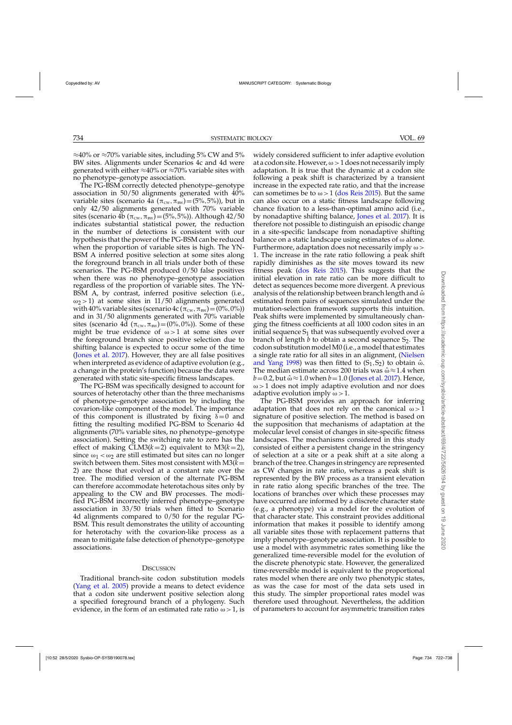$\approx$ 40% or  $\approx$ 70% variable sites, including 5% CW and 5% BW sites. Alignments under Scenarios 4c and 4d were generated with either  $\approx$ 40% or  $\approx$ 70% variable sites with no phenotype–genotype association.

The PG-BSM correctly detected phenotype–genotype association in 50/50 alignments generated with 40% variable sites (scenario 4a  $(\pi_{\text{cw}}, \pi_{\text{BW}})$ =(5%,5%)), but in only 42/50 alignments generated with 70% variable sites (scenario 4b ( $\pi_{\text{cw}}, \pi_{\text{BW}}$ ) = (5%, 5%)). Although 42/50 indicates substantial statistical power, the reduction in the number of detections is consistent with our hypothesis that the power of the PG-BSM can be reduced when the proportion of variable sites is high. The YN-BSM A inferred positive selection at some sites along the foreground branch in all trials under both of these scenarios. The PG-BSM produced 0/50 false positives when there was no phenotype–genotype association regardless of the proportion of variable sites. The YN-BSM A, by contrast, inferred positive selection (i.e.,  $ω<sub>2</sub> > 1$ ) at some sites in 11/50 alignments generated with 40% variable sites (scenario 4c ( $\pi_{\text{cw}}, \pi_{\text{BW}}$ ) = (0%,0%)) and in 31/50 alignments generated with 70% variable sites (scenario 4d  $(\pi_{\text{cw}}, \pi_{\text{BW}})$ =(0%,0%)). Some of these might be true evidence of  $\omega > 1$  at some sites over the foreground branch since positive selection due to shifting balance is expected to occur some of the time [\(Jones et al. 2017](#page-15-0)). However, they are all false positives when interpreted as evidence of adaptive evolution (e.g., a change in the protein's function) because the data were generated with static site-specific fitness landscapes.

The PG-BSM was specifically designed to account for sources of heterotachy other than the three mechanisms of phenotype–genotype association by including the covarion-like component of the model. The importance of this component is illustrated by fixing  $\delta = 0$  and fitting the resulting modified PG-BSM to Scenario 4d alignments (70% variable sites, no phenotype–genotype association). Setting the switching rate to zero has the effect of making  $CLM3(k=2)$  equivalent to  $M3(k=2)$ , since  $\omega_1 < \omega_2$  are still estimated but sites can no longer switch between them. Sites most consistent with M3(*k*= 2) are those that evolved at a constant rate over the tree. The modified version of the alternate PG-BSM can therefore accommodate heterotachous sites only by appealing to the CW and BW processes. The modified PG-BSM incorrectly inferred phenotype–genotype association in 33/50 trials when fitted to Scenario 4d alignments compared to 0/50 for the regular PG-BSM. This result demonstrates the utility of accounting for heterotachy with the covarion-like process as a mean to mitigate false detection of phenotype–genotype associations.

### **DISCUSSION**

Traditional branch-site codon substitution models [\(Yang et al. 2005\)](#page-16-0) provide a means to detect evidence that a codon site underwent positive selection along a specified foreground branch of a phylogeny. Such evidence, in the form of an estimated rate ratio  $\omega > 1$ , is

widely considered sufficient to infer adaptive evolution at a codon site. However,  $\omega > 1$  does not necessarily imply adaptation. It is true that the dynamic at a codon site following a peak shift is characterized by a transient increase in the expected rate ratio, and that the increase can sometimes be to  $\omega > 1$  [\(dos Reis 2015\)](#page-15-0). But the same can also occur on a static fitness landscape following chance fixation to a less-than-optimal amino acid (i.e., by nonadaptive shifting balance, [Jones et al. 2017\)](#page-15-0). It is therefore not possible to distinguish an episodic change in a site-specific landscape from nonadaptive shifting balance on a static landscape using estimates of  $\omega$  alone. Furthermore, adaptation does not necessarily imply  $\omega$  > 1. The increase in the rate ratio following a peak shift rapidly diminishes as the site moves toward its new fitness peak [\(dos Reis 2015\)](#page-15-0). This suggests that the initial elevation in rate ratio can be more difficult to detect as sequences become more divergent. A previous analysis of the relationship between branch length and  $\hat{\omega}$ estimated from pairs of sequences simulated under the mutation-selection framework supports this intuition. Peak shifts were implemented by simultaneously changing the fitness coefficients at all 1000 codon sites in an initial sequence  $S_1$  that was subsequently evolved over a branch of length  $b$  to obtain a second sequence  $S_2$ . The codon substitution modelM0 (i.e., a model that estimates a single r[ate ratio for all sites in an alignment, \(](#page-15-0)Nielsen and Yang [1998\)](#page-15-0) was then fitted to  $(S_1, S_2)$  to obtain  $\hat{\omega}$ . The median estimate across 200 trials was  $\hat{\omega} \approx 1.4$  when  $b=0.2$ , but  $\hat{\omega} \approx 1.0$  when  $b=1.0$  [\(Jones et al. 2017](#page-15-0)). Hence,  $\omega$  > 1 does not imply adaptive evolution and nor does adaptive evolution imply  $\omega > 1$ .

The PG-BSM provides an approach for inferring adaptation that does not rely on the canonical  $\omega > 1$ signature of positive selection. The method is based on the supposition that mechanisms of adaptation at the molecular level consist of changes in site-specific fitness landscapes. The mechanisms considered in this study consisted of either a persistent change in the stringency of selection at a site or a peak shift at a site along a branch of the tree. Changes in stringency are represented as CW changes in rate ratio, whereas a peak shift is represented by the BW process as a transient elevation in rate ratio along specific branches of the tree. The locations of branches over which these processes may have occurred are informed by a discrete character state (e.g., a phenotype) via a model for the evolution of that character state. This constraint provides additional information that makes it possible to identify among all variable sites those with replacement patterns that imply phenotype–genotype association. It is possible to use a model with asymmetric rates something like the generalized time-reversible model for the evolution of the discrete phenotypic state. However, the generalized time-reversible model is equivalent to the proportional rates model when there are only two phenotypic states, as was the case for most of the data sets used in this study. The simpler proportional rates model was therefore used throughout. Nevertheless, the addition of parameters to account for asymmetric transition rates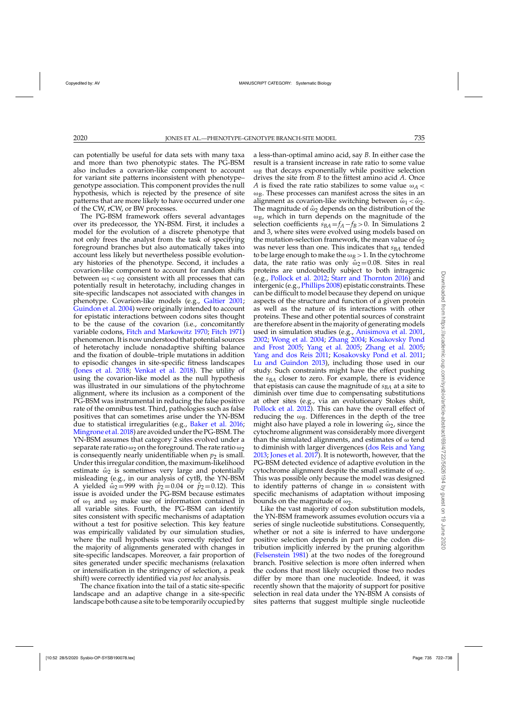can potentially be useful for data sets with many taxa and more than two phenotypic states. The PG-BSM also includes a covarion-like component to account for variant site patterns inconsistent with phenotype– genotype association. This component provides the null hypothesis, which is rejected by the presence of site patterns that are more likely to have occurred under one of the CW, rCW, or BW processes.

The PG-BSM framework offers several advantages over its predecessor, the YN-BSM. First, it includes a model for the evolution of a discrete phenotype that not only frees the analyst from the task of specifying foreground branches but also automatically takes into account less likely but nevertheless possible evolutionary histories of the phenotype. Second, it includes a covarion-like component to account for random shifts between  $\omega_1 < \omega_2$  consistent with all processes that can potentially result in heterotachy, including changes in site-specific landscapes not associated with changes in phenotype. Covarion-like models (e.g., [Galtier 2001](#page-15-0); [Guindon et al. 2004\)](#page-15-0) were originally intended to account for epistatic interactions between codons sites thought to be the cause of the covarion (i.e., concomitantly variable codons, [Fitch and Markowitz 1970;](#page-15-0) [Fitch 1971](#page-15-0)) phenomenon. Itis now understood that potential sources of heterotachy include nonadaptive shifting balance and the fixation of double–triple mutations in addition to episodic changes in site-specific fitness landscapes [\(Jones et al. 2018](#page-15-0); [Venkat et al. 2018](#page-16-0)). The utility of using the covarion-like model as the null hypothesis was illustrated in our simulations of the phytochrome alignment, where its inclusion as a component of the PG-BSM was instrumental in reducing the false positive rate of the omnibus test. Third, pathologies such as false positives that can sometimes arise under the YN-BSM due to statistical irregularities (e.g., [Baker et al. 2016](#page-15-0); [Mingrone et al. 2018](#page-15-0)) are avoided under the PG-BSM. The YN-BSM assumes that category 2 sites evolved under a separate rate ratio  $\omega_2$  on the foreground. The rate ratio  $\omega_2$ is consequently nearly unidentifiable when  $p_2$  is small. Under this irregular condition, the maximum-likelihood estimate  $\hat{\omega}_2$  is sometimes very large and potentially misleading (e.g., in our analysis of cytB, the YN-BSM A yielded  $\hat{\omega}_2 = 999$  with  $\hat{p}_2 = 0.04$  or  $\hat{p}_2 = 0.12$ ). This issue is avoided under the PG-BSM because estimates of  $\omega_1$  and  $\omega_2$  make use of information contained in all variable sites. Fourth, the PG-BSM can identify sites consistent with specific mechanisms of adaptation without a test for positive selection. This key feature was empirically validated by our simulation studies, where the null hypothesis was correctly rejected for the majority of alignments generated with changes in site-specific landscapes. Moreover, a fair proportion of sites generated under specific mechanisms (relaxation or intensification in the stringency of selection, a peak shift) were correctly identified via *post hoc* analysis.

The chance fixation into the tail of a static site-specific landscape and an adaptive change in a site-specific landscape both cause a site to be temporarily occupied by a less-than-optimal amino acid, say *B*. In either case the result is a transient increase in rate ratio to some value  $\omega_B$  that decays exponentially while positive selection drives the site from *B* to the fittest amino acid *A*. Once *A* is fixed the rate ratio stabilizes to some value  $\omega_A$  < ω*B*. These processes can manifest across the sites in an alignment as covarion-like switching between  $\hat{\omega}_1 < \hat{\omega}_2$ . The magnitude of  $\hat{\omega}_2$  depends on the distribution of the  $\omega_B$ , which in turn depends on the magnitude of the selection coefficients  $s_{BA} = f_A - f_B > 0$ . In Simulations 2 and 3, where sites were evolved using models based on the mutation-selection framework, the mean value of  $\hat{\omega}_2$ was never less than one. This indicates that *s<sub>BA</sub>* tended to be large enough to make the  $\omega_B > 1$ . In the cytochrome data, the rate ratio was only  $\hat{\omega}_2 = 0.08$ . Sites in real proteins are undoubtedly subject to both intragenic (e.g., [Pollock et al. 2012;](#page-15-0) [Starr and Thornton 2016](#page-16-0)) and intergenic (e.g., [Phillips 2008](#page-15-0)) epistatic constraints. These can be difficult to model because they depend on unique aspects of the structure and function of a given protein as well as the nature of its interactions with other proteins. These and other potential sources of constraint are therefore absent in the majority of generating models used in simulation studies (e.g., [Anisimova et al. 2001](#page-15-0), [2002;](#page-15-0) [Wong et al. 2004;](#page-16-0) [Zhang 2004;](#page-16-0) Kosakovsky Pond and Frost [2005;](#page-15-0) [Yang et al. 2005;](#page-16-0) [Zhang et al. 2005](#page-16-0); [Yang and dos Reis 2011](#page-16-0); [Kosakovsky Pond et al. 2011](#page-15-0); [Lu and Guindon 2013](#page-15-0)), including those used in our study. Such constraints might have the effect pushing the *s<sub>BA</sub>* closer to zero. For example, there is evidence that epistasis can cause the magnitude of *sBA* at a site to diminish over time due to compensating substitutions at other sites (e.g., via an evolutionary Stokes shift, [Pollock et al. 2012](#page-15-0)). This can have the overall effect of reducing the  $\omega_B$ . Differences in the depth of the tree might also have played a role in lowering  $\hat{\omega}_2$ , since the cytochrome alignment was considerably more divergent than the simulated alignments, and estimates of  $\omega$  tend to diminish with larger divergences [\(dos Reis and Yang](#page-15-0) [2013](#page-15-0); [Jones et al. 2017\)](#page-15-0). It is noteworth, however, that the PG-BSM detected evidence of adaptive evolution in the cytochrome alignment despite the small estimate of  $\omega_2$ . This was possible only because the model was designed to identify patterns of change in ω consistent with specific mechanisms of adaptation without imposing bounds on the magnitude of  $\omega_2$ .

Like the vast majority of codon substitution models, the YN-BSM framework assumes evolution occurs via a series of single nucleotide substitutions. Consequently, whether or not a site is inferred to have undergone positive selection depends in part on the codon distribution implicitly inferred by the pruning algorithm [\(Felsenstein 1981\)](#page-15-0) at the two nodes of the foreground branch. Positive selection is more often inferred when the codons that most likely occupied those two nodes differ by more than one nucleotide. Indeed, it was recently shown that the majority of support for positive selection in real data under the YN-BSM A consists of sites patterns that suggest multiple single nucleotide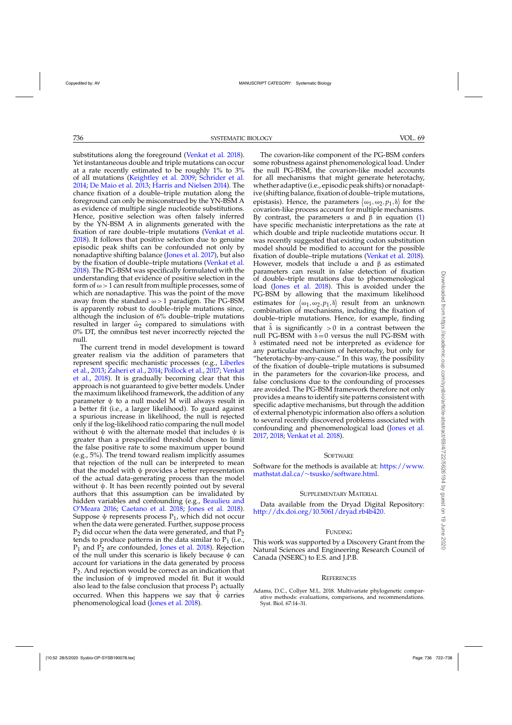<span id="page-14-0"></span>substitutions along the foreground [\(Venkat et al. 2018](#page-16-0)). Yet instantaneous double and triple mutations can occur at a rate recently estimated to be roughly 1% to 3% of all mutations [\(Keightley et al. 2009;](#page-15-0) [Schrider et al.](#page-16-0) [2014](#page-16-0); [De Maio et al. 2013;](#page-15-0) [Harris and Nielsen 2014](#page-15-0)). The chance fixation of a double–triple mutation along the foreground can only be misconstrued by the YN-BSM A as evidence of multiple single nucleotide substitutions. Hence, positive selection was often falsely inferred by the YN-BSM A in alignments generated with the fixation of rare double–triple mutations [\(Venkat et al.](#page-16-0) [2018](#page-16-0)). It follows that positive selection due to genuine episodic peak shifts can be confounded not only by nonadaptive shifting balance [\(Jones et al. 2017](#page-15-0)), but also by the fixation of double–triple mutations [\(Venkat et al.](#page-16-0) [2018](#page-16-0)). The PG-BSM was specifically formulated with the understanding that evidence of positive selection in the form of  $\omega > 1$  can result from multiple processes, some of which are nonadaptive. This was the point of the move away from the standard  $\omega > 1$  paradigm. The PG-BSM is apparently robust to double–triple mutations since, although the inclusion of 6% double–triple mutations resulted in larger  $\hat{\omega}_2$  compared to simulations with 0% DT, the omnibus test never incorrectly rejected the null.

The current trend in model development is toward greater realism via the addition of parameters that repr[esent specific mechanistic processes \(e.g.,](#page-15-0) Liberles et al., [2013;](#page-15-0) [Zaheri et al.,](#page-16-0) [2014](#page-16-0); [Pollock et al.](#page-15-0)[,](#page-16-0) [2017;](#page-15-0) Venkat et al., [2018\)](#page-16-0). It is gradually becoming clear that this approach is not guaranteed to give better models. Under the maximum likelihood framework, the addition of any parameter  $\psi$  to a null model M will always result in a better fit (i.e., a larger likelihood). To guard against a spurious increase in likelihood, the null is rejected only if the log-likelihood ratio comparing the null model without  $\psi$  with the alternate model that includes  $\psi$  is greater than a prespecified threshold chosen to limit the false positive rate to some maximum upper bound (e.g., 5%). The trend toward realism implicitly assumes that rejection of the null can be interpreted to mean that the model with  $\psi$  provides a better representation of the actual data-generating process than the model without  $\psi$ . It has been recently pointed out by several authors that this assumption can be invalidated by hidden [variables and confounding \(e.g.,](#page-15-0) Beaulieu and O'Meara [2016](#page-15-0); [Caetano et al. 2018;](#page-15-0) [Jones et al. 2018](#page-15-0)). Suppose  $\psi$  represents process  $P_1$ , which did not occur when the data were generated. Further, suppose process  $P_2$  did occur when the data were generated, and that  $P_2$ tends to produce patterns in the data similar to  $P_1$  (i.e.,  $P_1$  and  $P_2$  are confounded, [Jones et al. 2018\)](#page-15-0). Rejection of the null under this scenario is likely because  $\psi$  can account for variations in the data generated by process P2. And rejection would be correct as an indication that the inclusion of  $\psi$  improved model fit. But it would also lead to the false conclusion that process  $P_1$  actually occurred. When this happens we say that  $\Psi$  carries phenomenological load [\(Jones et al. 2018](#page-15-0)).

The covarion-like component of the PG-BSM confers some robustness against phenomenological load. Under the null PG-BSM, the covarion-like model accounts for all mechanisms that might generate heterotachy, whether adaptive (i.e., episodic peak shifts) or nonadaptive (shifting balance, fixation of double–triple mutations, epistasis). Hence, the parameters  $(\omega_1, \omega_2, p_1, \delta)$  for the covarion-like process account for multiple mechanisms. By contrast, the parameters  $\alpha$  and  $\beta$  in equation [\(1\)](#page-2-0) have specific mechanistic interpretations as the rate at which double and triple nucleotide mutations occur. It was recently suggested that existing codon substitution model should be modified to account for the possible fixation of double–triple mutations [\(Venkat et al. 2018\)](#page-16-0). However, models that include  $\alpha$  and  $\beta$  as estimated parameters can result in false detection of fixation of double–triple mutations due to phenomenological load [\(Jones et al. 2018\)](#page-15-0). This is avoided under the PG-BSM by allowing that the maximum likelihood estimates for  $\langle \omega_1, \omega_2, p_1, \delta \rangle$  result from an unknown combination of mechanisms, including the fixation of double–triple mutations. Hence, for example, finding that  $\hat{\delta}$  is significantly  $>0$  in a contrast between the null PG-BSM with  $\delta = 0$  versus the null PG-BSM with  $\delta$  estimated need not be interpreted as evidence for any particular mechanism of heterotachy, but only for "heterotachy-by-any-cause." In this way, the possibility of the fixation of double–triple mutations is subsumed in the parameters for the covarion-like process, and false conclusions due to the confounding of processes are avoided. The PG-BSM framework therefore not only provides a means to identify site patterns consistent with specific adaptive mechanisms, but through the addition of external phenotypic information also offers a solution to several recently discovered problems associated with confounding and phenomenological load [\(Jones et al.](#page-15-0) [2017,](#page-15-0) [2018;](#page-15-0) [Venkat et al. 2018](#page-16-0)).

### **SOFTWARE**

Software for the methods is available at: [https://www.](https://www.mathstat.dal.ca/~tsusko/software.html) mathstat.dal.ca/∼[tsusko/software.html.](https://www.mathstat.dal.ca/~tsusko/software.html)

### SUPPLEMENTARY MATERIAL

Data available from the Dryad Digital Repository: [http://dx.doi.org/10.5061/dryad.rb4b420.](http://dx.doi.org/10.5061/dryad.rb4b420)

### FUNDING

This work was supported by a Discovery Grant from the Natural Sciences and Engineering Research Council of Canada (NSERC) to E.S. and J.P.B.

### **REFERENCES**

Adams, D.C., Collyer M.L. 2018. Multivariate phylogenetic comparative methods: evaluations, comparisons, and recommendations. Syst. Biol. 67:14–31.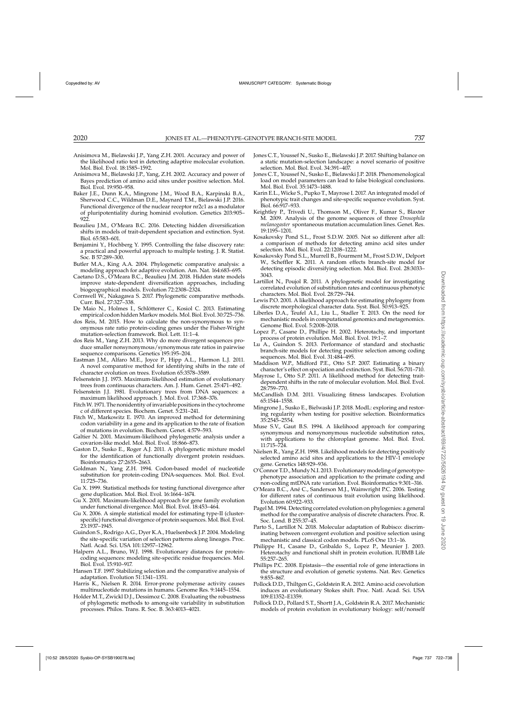- <span id="page-15-0"></span>Anisimova M., Bielawski J.P., Yang Z.H. 2001. Accuracy and power of the likelihood ratio test in detecting adaptive molecular evolution. Mol. Biol. Evol. 18:1585–1592.
- Anisimova M., Bielawski J.P., Yang, Z.H. 2002. Accuracy and power of Bayes prediction of amino acid sites under positive selection. Mol. Biol. Evol. 19:950–958.
- Baker J.E., Dunn K.A., Mingrone J.M., Wood B.A., Karpinski B.A., Sherwood C.C., Wildman D.E., Maynard T.M., Bielawski J.P. 2016. Functional divergence of the nuclear receptor nr2c1 as a modulator of pluripotentiality during hominid evolution. Genetics 203:905–  $922$
- Beaulieu J.M., O'Meara B.C. 2016. Detecting hidden diversification shifts in models of trait-dependent speciation and extinction. Syst. Biol. 65:583–601.
- Benjamini Y., Hochberg Y. 1995. Controlling the false discovery rate: a practical and powerful approach to multiple testing. J. R. Statist. Soc. B 57:289–300.
- Butler M.A., King A.A. 2004. Phylogenetic comparative analysis: a modeling approach for adaptive evolution. Am. Nat. 164:683–695.
- Caetano D.S., O'Meara B.C., Beaulieu J.M. 2018. Hidden state models improve state-dependent diversification approaches, including biogeographical models. Evolution 72:2308–2324.
- Cornwell W., Nakagawa S. 2017. Phylogenetic comparative methods. Curr. Biol. 27:327–338.
- De Maio N., Holmes I., Schlötterer C., Kosiol C. 2013. Estimating empirical codon hidden Markov models. Mol. Biol. Evol. 30:725-736.
- dos Reis, M. 2015. How to calculate the non-synonymous to synonymous rate ratio protein-coding genes under the Fisher-Wright mutation-selection framework. Biol. Lett. 11:1–4.
- dos Reis M., Yang Z.H. 2013. Why do more divergent sequences produce smaller nonsynonymous/synonymous rate ratios in pairwise sequence comparisons. Genetics 195:195–204.
- Eastman J.M., Alfaro M.E., Joyce P., Hipp A.L., Harmon L.J. 2011. A novel comparative method for identifying shifts in the rate of character evolution on trees. Evolution 65:3578–3589.
- Felsenstein J.J. 1973. Maximum-likelihood estimation of evolutionary trees from continuous characters. Am. J. Hum. Genet. 25:471–492.
- Felsenstein J.J. 1981. Evolutionary trees from DNA sequences: a maximum likelihood approach. J. Mol. Evol. 17:368–376.
- FitchW. 1971. The nonidentity of invariable positions in the cytochrome c of different species. Biochem. Genet. 5:231–241.
- Fitch W., Markowitz E. 1970. An improved method for determining codon variability in a gene and its application to the rate of fixation of mutations in evolution. Biochem. Genet. 4:579–593.
- Galtier N. 2001. Maximum-likelihood phylogenetic analysis under a covarion-like model. Mol. Biol. Evol. 18:866–873.
- Gaston D., Susko E., Roger A.J. 2011. A phylogenetic mixture model for the identification of functionally divergent protein residues. Bioinformatics 27:2655–2663.
- Goldman N., Yang Z.H. 1994. Codon-based model of nucleotide substitution for protein-coding DNA-sequences. Mol. Biol. Evol. 11:725–736.
- Gu X. 1999. Statistical methods for testing functional divergence after gene duplication. Mol. Biol. Evol. 16:1664–1674.
- Gu X. 2001. Maximum-likelihood approach for gene family evolution under functional divergence. Mol. Biol. Evol. 18:453–464.
- Gu X. 2006. A simple statistical model for estimating type-II (clusterspecific) functional divergence of protein sequences. Mol. Biol. Evol. 23:1937–1945.
- Guindon S., Rodrigo A.G., Dyer K.A., Huelsenbeck J.P. 2004. Modeling the site-specific variation of selection patterns along lineages. Proc. Natl. Acad. Sci. USA 101:12957–12962.
- Halpern A.L., Bruno, W.J. 1998. Evolutionary distances for proteincoding sequences: modeling site-specific residue frequencies. Mol. Biol. Evol. 15:910–917.
- Hansen T.F. 1997. Stabilizing selection and the comparative analysis of adaptation. Evolution 51:1341–1351.
- Harris K., Nielsen R. 2014. Error-prone polymerase activity causes multinucleotide mutations in humans. Genome Res. 9:1445–1554.
- Holder M.T., Zwickl D.J., Dessimoz C. 2008. Evaluating the robustness of phylogenetic methods to among-site variability in substitution processes. Philos. Trans. R. Soc. B. 363:4013–4021.
- Jones C.T., Youssef N., Susko E., Bielawski J.P. 2017. Shifting balance on a static mutation-selection landscape: a novel scenario of positive selection. Mol. Biol. Evol. 34:391–407.
- Jones C.T., Youssef N., Susko E., Bielawski J.P. 2018. Phenomenological load on model parameters can lead to false biological conclusions. Mol. Biol. Evol. 35:1473–1488.
- Karin E.L., Wicke S., Pupko T., Mayrose I. 2017. An integrated model of phenotypic trait changes and site-specific sequence evolution. Syst. Biol. 66:917–933.
- Keightley P., Trivedi U., Thomson M., Oliver F., Kumar S., Blaxter M. 2009. Analysis of the genome sequences of three *Drosophila melanogaster* spontaneous mutation accumulation lines. Genet. Res. 19:1195–1201.
- Kosakovsky Pond S.L., Frost S.D.W. 2005. Not so different after all: a comparison of methods for detecting amino acid sites under selection. Mol. Biol. Evol. 22:1208–1222.
- Kosakovsky Pond S.L., Murrell B., Fourment M., Frost S.D.W., Delport W., Scheffler K. 2011. A random effects branch-site model for detecting episodic diversifying selection. Mol. Biol. Evol. 28:3033– 3043.
- Lartillot N., Poujol R. 2011. A phylogenetic model for investigating correlated evolution of substitution rates and continuous phenotyic characters. Mol. Biol. Evol. 28:729–744.
- Lewis P.O. 2001. A likelihood approach for estimating phylogeny from discrete morphological character data. Syst. Biol. 50:913–925.
- Liberles D.A., Teufel A.I., Liu L., Stadler T. 2013. On the need for mechanistic models in computational genomics and metagenomics. Genome Biol. Evol. 5:2008–2018.
- Lopez P., Casane D., Phillipe H. 2002. Heterotachy, and important process of protein evolution. Mol. Biol. Evol. 19:1–7.
- Lu A., Guindon S. 2013. Performance of standard and stochastic branch-site models for detecting positive selection among coding sequences. Mol. Biol. Evol. 31:484–495.
- Maddison W.P., Midford P.E., Otto S.P. 2007. Estimating a binary character's effect on speciation and extinction. Syst. Biol. 56:701–710.
- Mayrose I., Otto S.P. 2011. A likelihood method for detecting traitdependent shifts in the rate of molecular evolution. Mol. Biol. Evol. 28:759–770.
- McCandlish D.M. 2011. Visualizing fitness landscapes. Evolution 65:1544–1558.
- Mingrone J., Susko E., Bielwaski J.P. 2018. ModL: exploring and restoring regularity when testing for positive selection. Bioinformatics 35:2545–2554.
- Muse S.V., Gaut B.S. 1994. A likelihood approach for comparing synonymous and nonsynonymous nucleotide substitution rates, with applications to the chloroplast genome. Mol. Biol. Evol. 11:715–724.
- Nielsen R., Yang Z.H. 1998. Likelihood models for detecting positively selected amino acid sites and applications to the HIV-1 envelope gene. Genetics 148:929–936.
- O'Connor T.D.,Mundy N.I. 2013. Evolutionary modeling of geneotypephenotype association and application to the primate coding and non-coding mtDNA rate variation. Evol. Bioinformatics 9:301–316.
- O'Meara B.C., Ané C., Sanderson M.J., Wainwright P.C. 2006. Testing for different rates of continuous trait evolution using likelihood. Evolution 60:922–933.
- Pagel M. 1994. Detecting correlated evolution on phylogenies: a general method for the comparative analysis of discrete characters. Proc. R. Soc. Lond. B 255:37–45.
- Parto S., Lartillot N. 2018. Molecular adaptation of Rubisco: discriminating between convergent evolution and positive selection using mechanistic and classical codon models. PLoS One 13:1–16.
- Philippe H., Casane D., Gribaldo S., Lopez P., Meunier J. 2003. Heterotachy and functional shift in protein evolution. IUBMB Life 55:257–265.
- Phillips P.C. 2008. Epistasis—the essential role of gene interactions in the structure and evolution of genetic systems. Nat. Rev. Genetics 9:855–867.
- Pollock D.D., Thiltgen G., Goldstein R.A. 2012. Amino acid coevolution induces an evolutionary Stokes shift. Proc. Natl. Acad. Sci. USA 109:E1352–E1359.
- Pollock D.D., Pollard S.T., Shortt J.A., Goldstein R.A. 2017. Mechanistic models of protein evolution in evolutionary biology: self/nonself